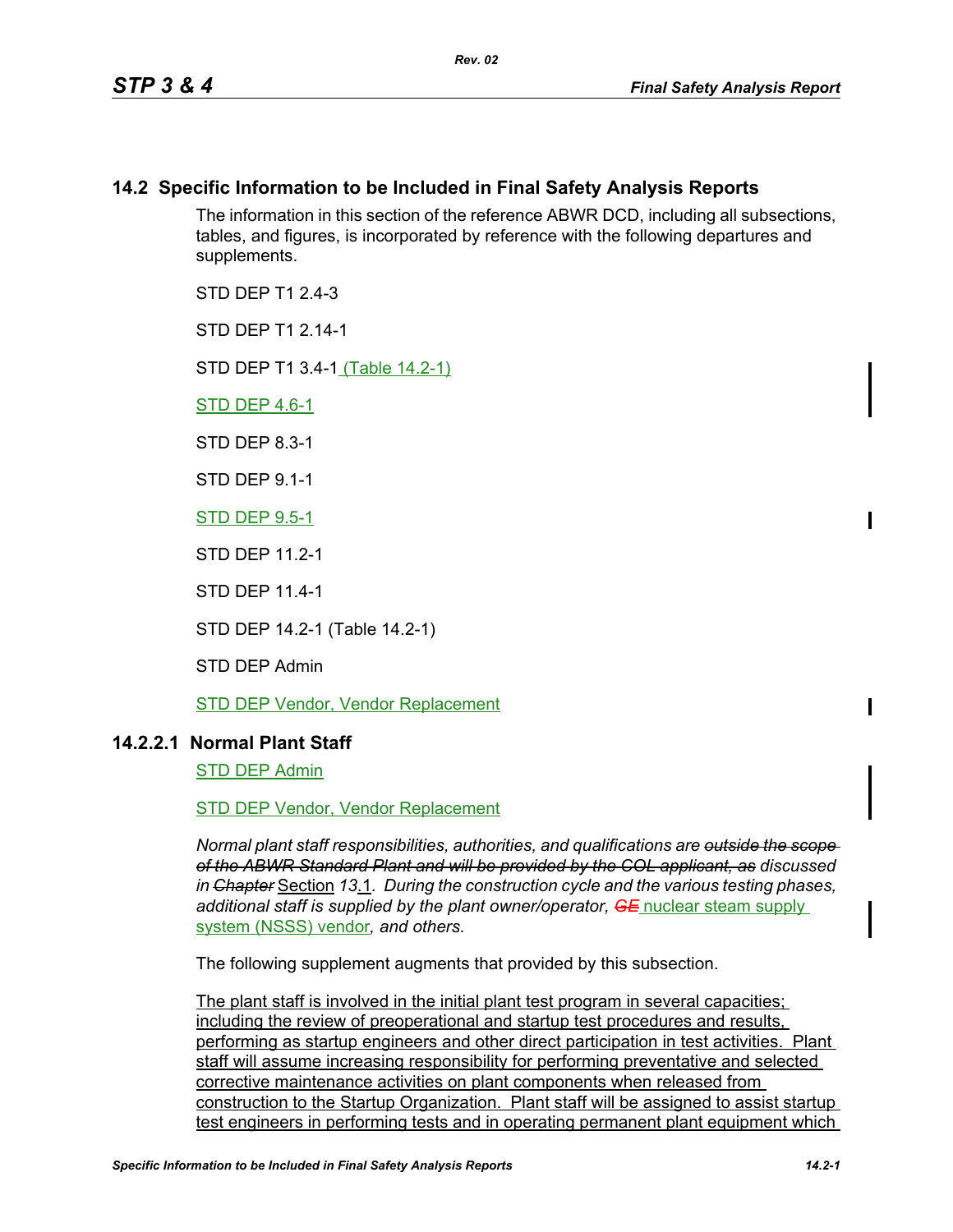# **14.2 Specific Information to be Included in Final Safety Analysis Reports**

The information in this section of the reference ABWR DCD, including all subsections, tables, and figures, is incorporated by reference with the following departures and supplements.

STD DFP T1 2 4-3

STD DFP T1 2 14-1

STD DEP T1 3.4-1 (Table 14.2-1)

STD DEP 4.6-1

STD DEP 8.3-1

STD DEP 9.1-1

STD DEP 9.5-1

STD DEP 11.2-1

STD DEP 11.4-1

STD DEP 14.2-1 (Table 14.2-1)

STD DEP Admin

STD DEP Vendor, Vendor Replacement

### **14.2.2.1 Normal Plant Staff**

STD DEP Admin

STD DEP Vendor, Vendor Replacement

*Normal plant staff responsibilities, authorities, and qualifications are outside the scope of the ABWR Standard Plant and will be provided by the COL applicant, as discussed in Chapter* Section *13*.1*. During the construction cycle and the various testing phases, additional staff is supplied by the plant owner/operator, GE* nuclear steam supply system (NSSS) vendor*, and others.* 

The following supplement augments that provided by this subsection.

The plant staff is involved in the initial plant test program in several capacities; including the review of preoperational and startup test procedures and results, performing as startup engineers and other direct participation in test activities. Plant staff will assume increasing responsibility for performing preventative and selected corrective maintenance activities on plant components when released from construction to the Startup Organization. Plant staff will be assigned to assist startup test engineers in performing tests and in operating permanent plant equipment which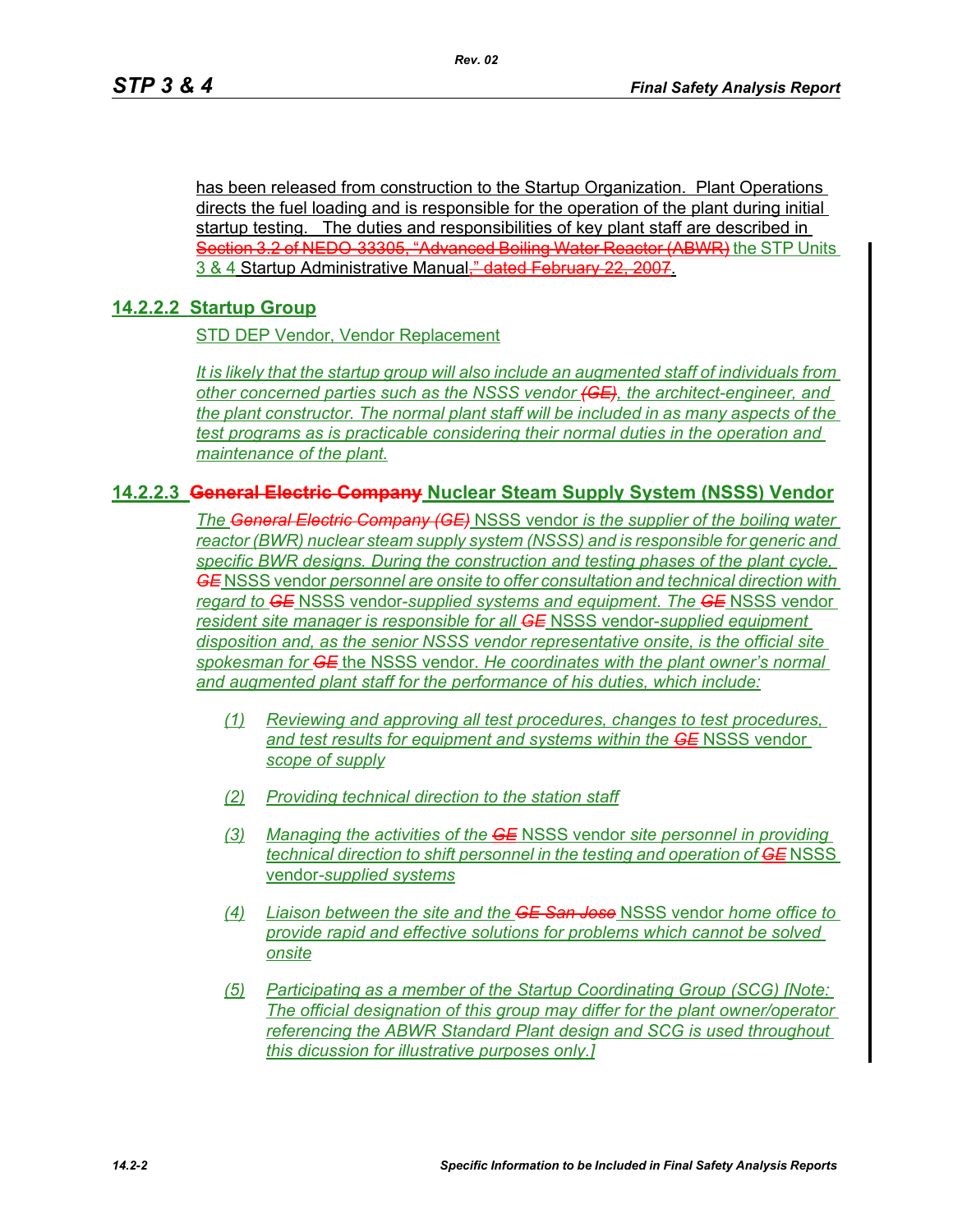has been released from construction to the Startup Organization. Plant Operations directs the fuel loading and is responsible for the operation of the plant during initial startup testing. The duties and responsibilities of key plant staff are described in Section 3.2 of NEDO 33305, "Advanced Boiling Water Reactor (ABWR) the STP Units 3 & 4 Startup Administrative Manual," dated February 22, 2007.

# **14.2.2.2 Startup Group**

STD DEP Vendor, Vendor Replacement

*It is likely that the startup group will also include an augmented staff of individuals from other concerned parties such as the NSSS vendor (GE), the architect-engineer, and the plant constructor. The normal plant staff will be included in as many aspects of the test programs as is practicable considering their normal duties in the operation and maintenance of the plant.*

# **14.2.2.3 General Electric Company Nuclear Steam Supply System (NSSS) Vendor**

*The General Electric Company (GE)* NSSS vendor *is the supplier of the boiling water reactor (BWR) nuclear steam supply system (NSSS) and is responsible for generic and specific BWR designs. During the construction and testing phases of the plant cycle, GE* NSSS vendor *personnel are onsite to offer consultation and technical direction with regard to GE* NSSS vendor-*supplied systems and equipment. The GE* NSSS vendor *resident site manager is responsible for all GE* NSSS vendor-*supplied equipment disposition and, as the senior NSSS vendor representative onsite, is the official site spokesman for GE* the NSSS vendor*. He coordinates with the plant owner's normal and augmented plant staff for the performance of his duties, which include:*

- *(1) Reviewing and approving all test procedures, changes to test procedures, and test results for equipment and systems within the GE* NSSS vendor *scope of supply*
- *(2) Providing technical direction to the station staff*
- *(3) Managing the activities of the GE* NSSS vendor *site personnel in providing technical direction to shift personnel in the testing and operation of GE* NSSS vendor*-supplied systems*
- *(4) Liaison between the site and the GE San Jose* NSSS vendor *home office to provide rapid and effective solutions for problems which cannot be solved onsite*
- *(5) Participating as a member of the Startup Coordinating Group (SCG) [Note: The official designation of this group may differ for the plant owner/operator referencing the ABWR Standard Plant design and SCG is used throughout this dicussion for illustrative purposes only.]*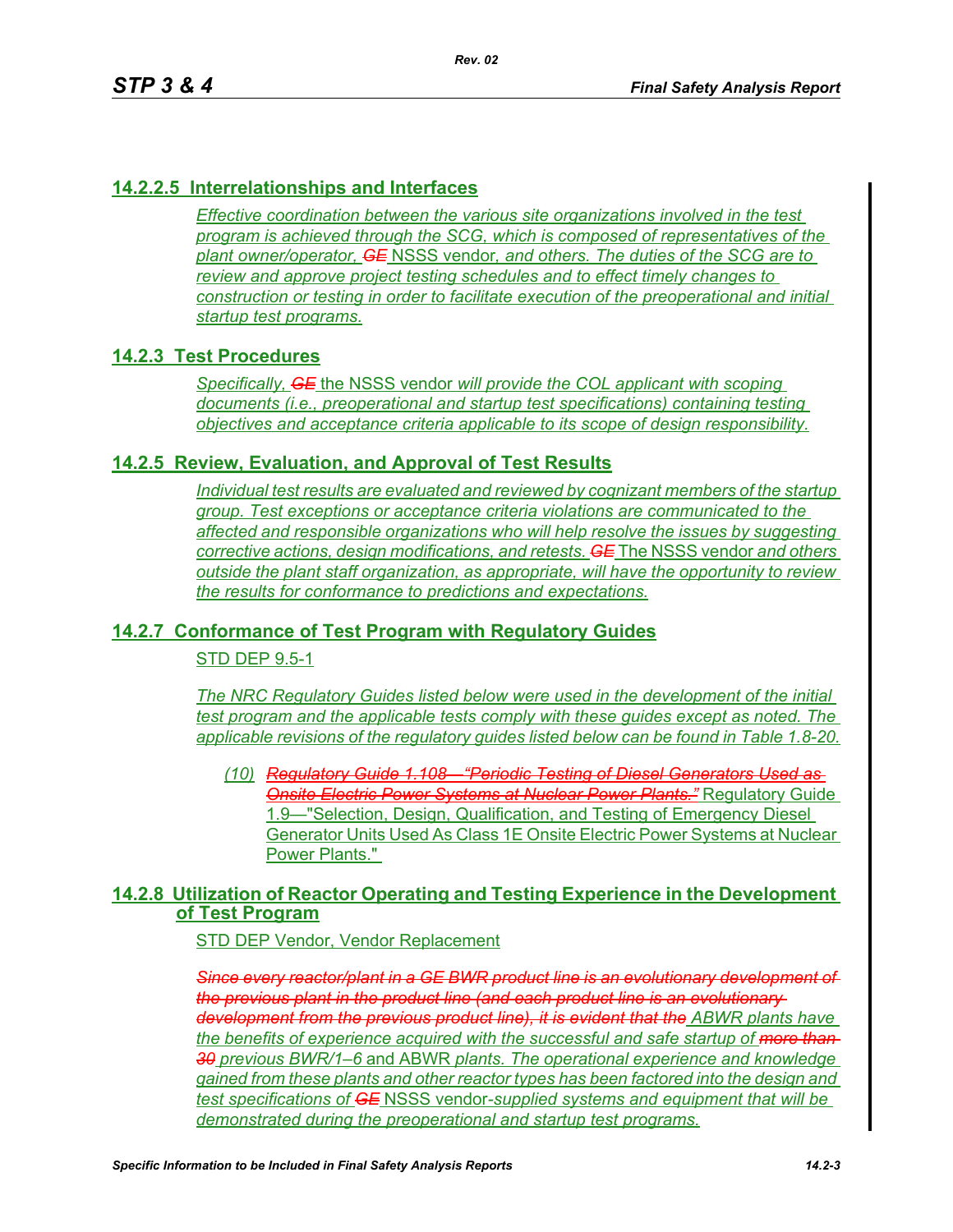# **14.2.2.5 Interrelationships and Interfaces**

*Effective coordination between the various site organizations involved in the test program is achieved through the SCG, which is composed of representatives of the plant owner/operator, GE* NSSS vendor*, and others. The duties of the SCG are to review and approve project testing schedules and to effect timely changes to construction or testing in order to facilitate execution of the preoperational and initial startup test programs.*

### **14.2.3 Test Procedures**

*Specifically, GE* the NSSS vendor *will provide the COL applicant with scoping documents (i.e., preoperational and startup test specifications) containing testing objectives and acceptance criteria applicable to its scope of design responsibility.*

### **14.2.5 Review, Evaluation, and Approval of Test Results**

*Individual test results are evaluated and reviewed by cognizant members of the startup group. Test exceptions or acceptance criteria violations are communicated to the affected and responsible organizations who will help resolve the issues by suggesting corrective actions, design modifications, and retests. GE* The NSSS vendor *and others outside the plant staff organization, as appropriate, will have the opportunity to review the results for conformance to predictions and expectations.*

# **14.2.7 Conformance of Test Program with Regulatory Guides**

STD DEP 9.5-1

*The NRC Regulatory Guides listed below were used in the development of the initial test program and the applicable tests comply with these guides except as noted. The applicable revisions of the regulatory guides listed below can be found in Table 1.8-20.*

*(10) Regulatory Guide 1.108—"Periodic Testing of Diesel Generators Used as*  **Onsite Electric Power Systems at Nuclear Power Plants.**" Regulatory Guide 1.9—"Selection, Design, Qualification, and Testing of Emergency Diesel Generator Units Used As Class 1E Onsite Electric Power Systems at Nuclear Power Plants."

# **14.2.8 Utilization of Reactor Operating and Testing Experience in the Development of Test Program**

STD DEP Vendor, Vendor Replacement

*Since every reactor/plant in a GE BWR product line is an evolutionary development of the previous plant in the product line (and each product line is an evolutionary development from the previous product line), it is evident that the ABWR plants have the benefits of experience acquired with the successful and safe startup of more than 30 previous BWR/1–6* and ABWR *plants. The operational experience and knowledge gained from these plants and other reactor types has been factored into the design and test specifications of GE* NSSS vendor*-supplied systems and equipment that will be demonstrated during the preoperational and startup test programs.*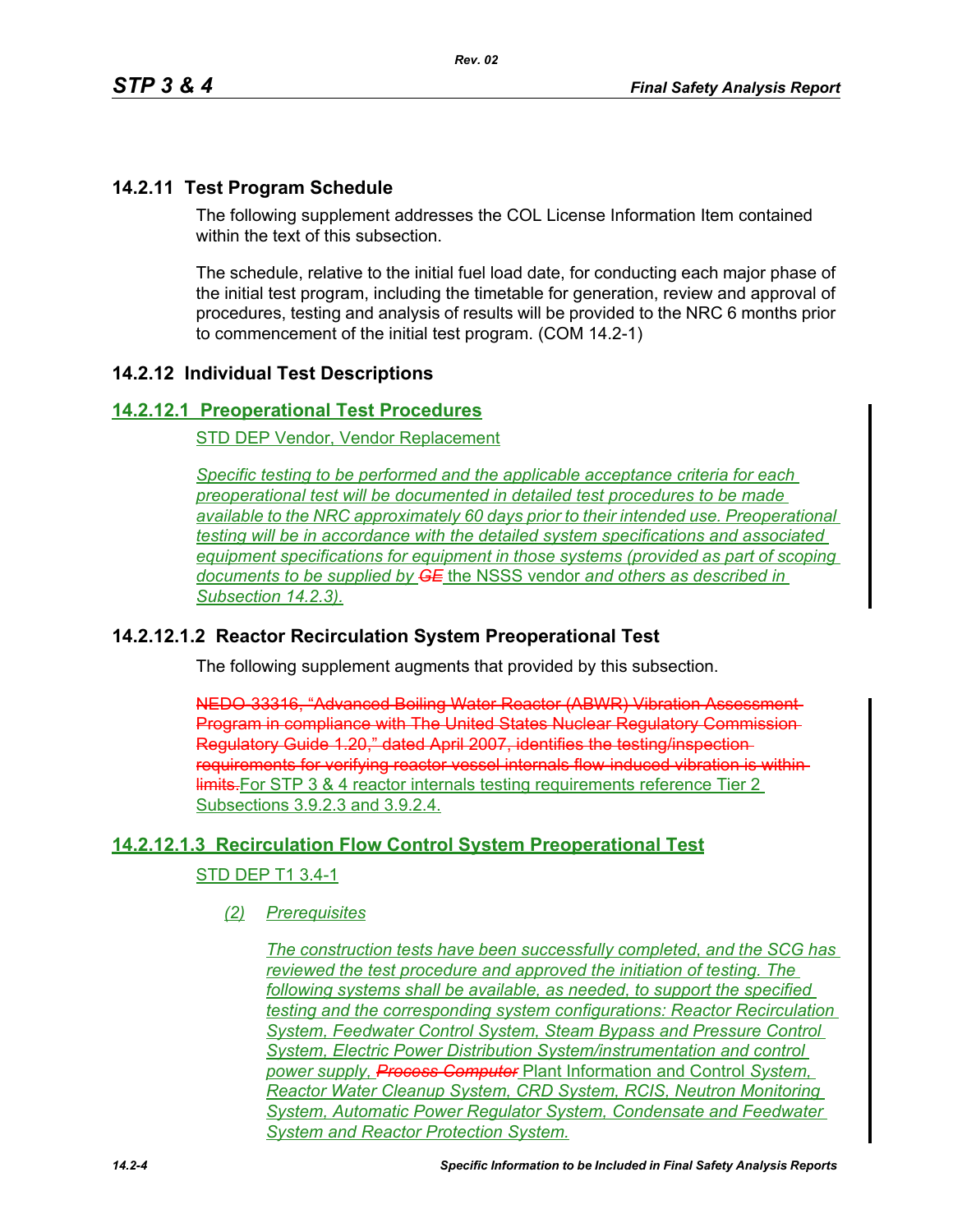# **14.2.11 Test Program Schedule**

The following supplement addresses the COL License Information Item contained within the text of this subsection

The schedule, relative to the initial fuel load date, for conducting each major phase of the initial test program, including the timetable for generation, review and approval of procedures, testing and analysis of results will be provided to the NRC 6 months prior to commencement of the initial test program. (COM 14.2-1)

# **14.2.12 Individual Test Descriptions**

### **14.2.12.1 Preoperational Test Procedures**

STD DEP Vendor, Vendor Replacement

*Specific testing to be performed and the applicable acceptance criteria for each preoperational test will be documented in detailed test procedures to be made available to the NRC approximately 60 days prior to their intended use. Preoperational testing will be in accordance with the detailed system specifications and associated equipment specifications for equipment in those systems (provided as part of scoping documents to be supplied by GE* the NSSS vendor *and others as described in Subsection 14.2.3).*

# **14.2.12.1.2 Reactor Recirculation System Preoperational Test**

The following supplement augments that provided by this subsection.

NEDO-33316, "Advanced Boiling Water Reactor (ABWR) Vibration Assessment Program in compliance with The United States Nuclear Regulatory Commission Regulatory Guide 1.20," dated April 2007, identifies the testing/inspection requirements for verifying reactor vessel internals flow-induced vibration is within **IF HIGHT** HIGHT THE STEAGE INTERTATION THE STEAGE THE STEAGE THE STEAGE THE 2 Subsections 3.9.2.3 and 3.9.2.4.

# **14.2.12.1.3 Recirculation Flow Control System Preoperational Test**

#### STD DEP T1 3.4-1

### *(2) Prerequisites*

*The construction tests have been successfully completed, and the SCG has reviewed the test procedure and approved the initiation of testing. The following systems shall be available, as needed, to support the specified testing and the corresponding system configurations: Reactor Recirculation System, Feedwater Control System, Steam Bypass and Pressure Control System, Electric Power Distribution System/instrumentation and control power supply, Process Computer* Plant Information and Control *System, Reactor Water Cleanup System, CRD System, RCIS, Neutron Monitoring System, Automatic Power Regulator System, Condensate and Feedwater System and Reactor Protection System.*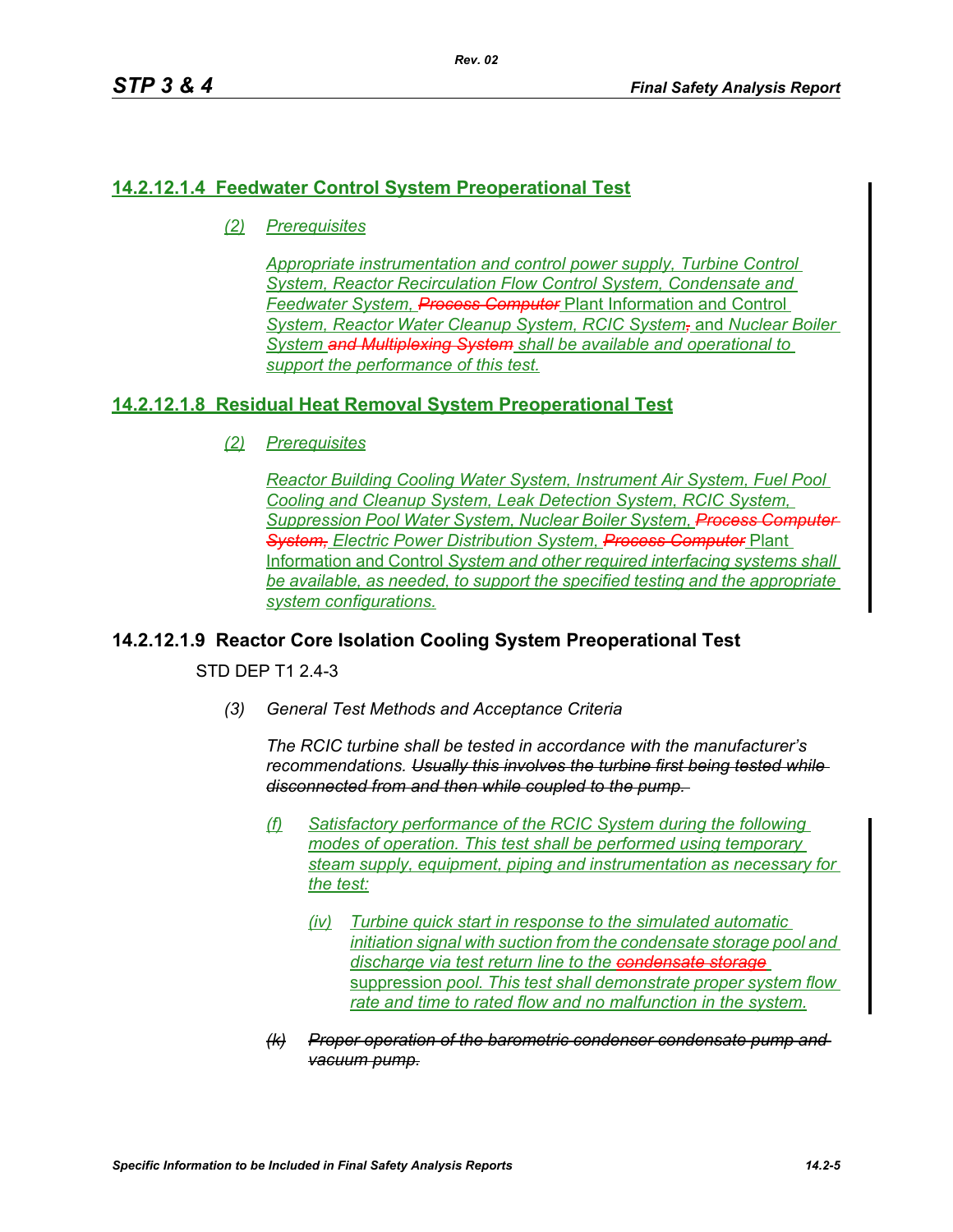# **14.2.12.1.4 Feedwater Control System Preoperational Test**

*(2) Prerequisites*

*Appropriate instrumentation and control power supply, Turbine Control System, Reactor Recirculation Flow Control System, Condensate and Feedwater System, Process Computer* Plant Information and Control *System, Reactor Water Cleanup System, RCIC System,* and *Nuclear Boiler System and Multiplexing System shall be available and operational to support the performance of this test.*

# **14.2.12.1.8 Residual Heat Removal System Preoperational Test**

*(2) Prerequisites*

*Reactor Building Cooling Water System, Instrument Air System, Fuel Pool Cooling and Cleanup System, Leak Detection System, RCIC System, Suppression Pool Water System, Nuclear Boiler System, Process Computer System, Electric Power Distribution System, Process Computer* Plant Information and Control *System and other required interfacing systems shall be available, as needed, to support the specified testing and the appropriate system configurations.*

# **14.2.12.1.9 Reactor Core Isolation Cooling System Preoperational Test**

STD DFP T1 2 4-3

*(3) General Test Methods and Acceptance Criteria*

*The RCIC turbine shall be tested in accordance with the manufacturer's recommendations. Usually this involves the turbine first being tested while disconnected from and then while coupled to the pump.* 

- *(f) Satisfactory performance of the RCIC System during the following modes of operation. This test shall be performed using temporary steam supply, equipment, piping and instrumentation as necessary for the test:*
	- *(iv) Turbine quick start in response to the simulated automatic initiation signal with suction from the condensate storage pool and discharge via test return line to the condensate storage* suppression *pool. This test shall demonstrate proper system flow rate and time to rated flow and no malfunction in the system.*
- *(k) Proper operation of the barometric condenser condensate pump and vacuum pump.*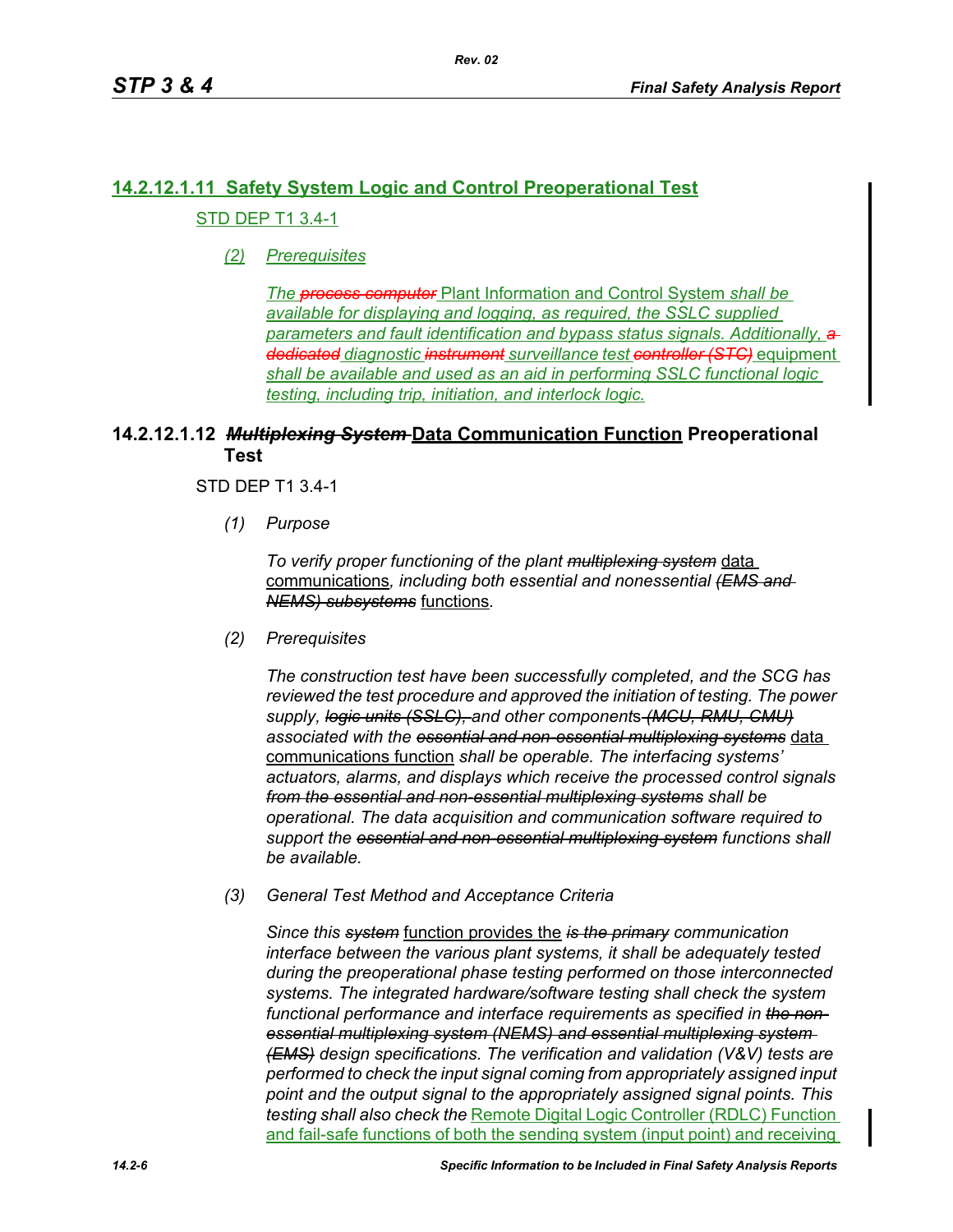# **14.2.12.1.11 Safety System Logic and Control Preoperational Test** STD DEP T1 3.4-1

*(2) Prerequisites*

*The process computer* Plant Information and Control System *shall be available for displaying and logging, as required, the SSLC supplied parameters and fault identification and bypass status signals. Additionally, a dedicated diagnostic instrument surveillance test controller (STC)* equipment *shall be available and used as an aid in performing SSLC functional logic testing, including trip, initiation, and interlock logic.*

# **14.2.12.1.12** *Multiplexing System* **Data Communication Function Preoperational Test**

### STD DEP T1 3.4-1

*(1) Purpose*

*To verify proper functioning of the plant multiplexing system* data communications*, including both essential and nonessential (EMS and NEMS) subsystems* functions*.*

*(2) Prerequisites*

*The construction test have been successfully completed, and the SCG has reviewed the test procedure and approved the initiation of testing. The power supply, logic units (SSLC), and other component*s *(MCU, RMU, CMU) associated with the essential and non-essential multiplexing systems* data communications function *shall be operable. The interfacing systems' actuators, alarms, and displays which receive the processed control signals from the essential and non-essential multiplexing systems shall be operational. The data acquisition and communication software required to support the essential and non-essential multiplexing system functions shall be available.*

*(3) General Test Method and Acceptance Criteria*

*Since this system* function provides the *is the primary communication interface between the various plant systems, it shall be adequately tested during the preoperational phase testing performed on those interconnected systems. The integrated hardware/software testing shall check the system functional performance and interface requirements as specified in the nonessential multiplexing system (NEMS) and essential multiplexing system (EMS) design specifications. The verification and validation (V&V) tests are performed to check the input signal coming from appropriately assigned input point and the output signal to the appropriately assigned signal points. This testing shall also check the* Remote Digital Logic Controller (RDLC) Function and fail-safe functions of both the sending system (input point) and receiving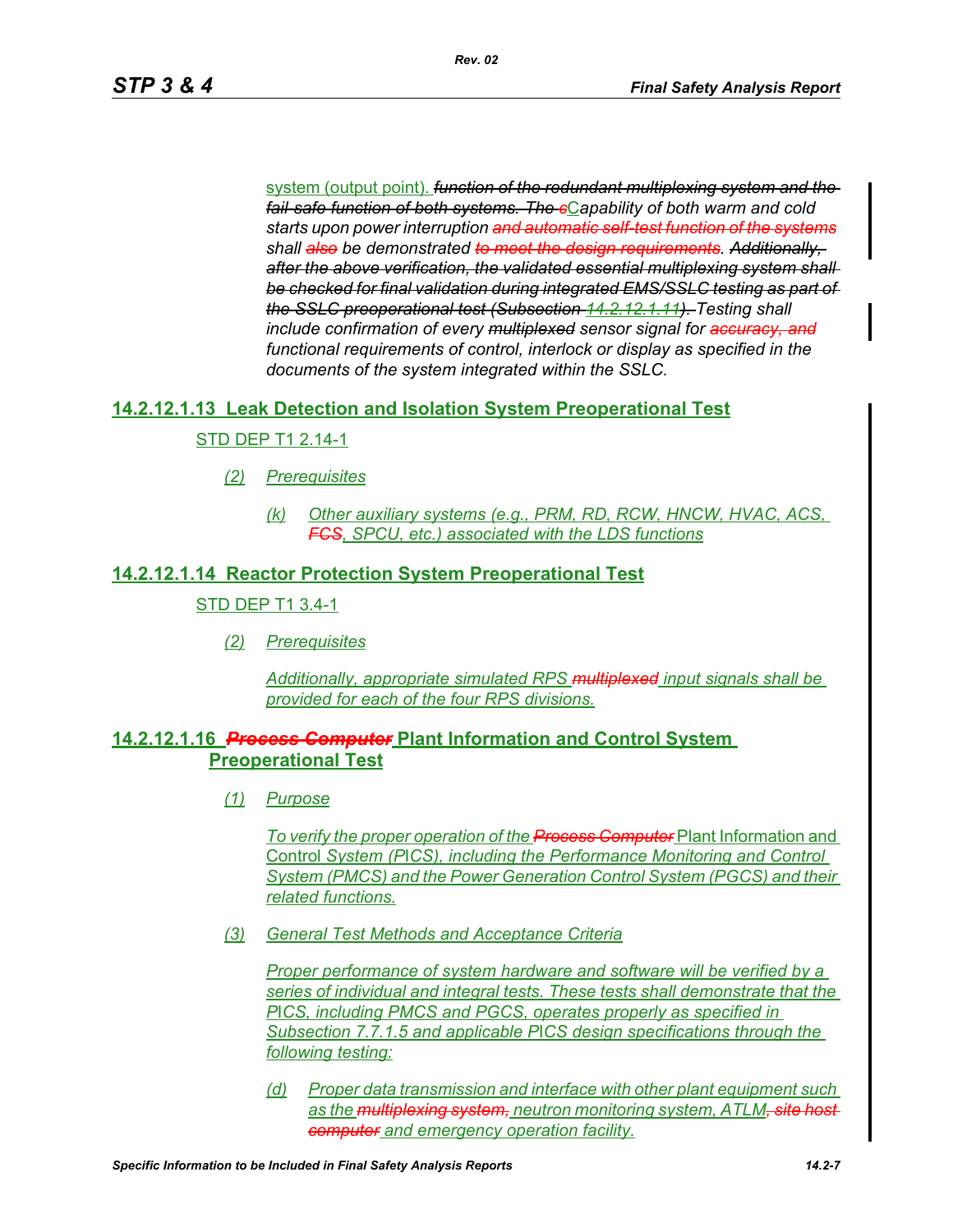system (output point). *function of the redundant multiplexing system and the fail-safe function of both systems. The c*C*apability of both warm and cold starts upon power interruption and automatic self-test function of the systems shall also be demonstrated to meet the design requirements. Additionally, after the above verification, the validated essential multiplexing system shall be checked for final validation during integrated EMS/SSLC testing as part of the SSLC preoperational test (Subsection 14.2.12.1.11). Testing shall include confirmation of every multiplexed sensor signal for accuracy, and functional requirements of control, interlock or display as specified in the documents of the system integrated within the SSLC.*

### **14.2.12.1.13 Leak Detection and Isolation System Preoperational Test**

### STD DEP T1 2.14-1

- *(2) Prerequisites*
	- *(k) Other auxiliary systems (e.g., PRM, RD, RCW, HNCW, HVAC, ACS, FCS, SPCU, etc.) associated with the LDS functions*

#### **14.2.12.1.14 Reactor Protection System Preoperational Test**

#### STD DEP T1 3.4-1

*(2) Prerequisites*

*Additionally, appropriate simulated RPS multiplexed input signals shall be provided for each of the four RPS divisions.*

### **14.2.12.1.16** *Process Computer* **Plant Information and Control System Preoperational Test**

*(1) Purpose*

*To verify the proper operation of the Process Computer* Plant Information and Control *System (P*I*CS), including the Performance Monitoring and Control System (PMCS) and the Power Generation Control System (PGCS) and their related functions.*

*(3) General Test Methods and Acceptance Criteria*

*Proper performance of system hardware and software will be verified by a series of individual and integral tests. These tests shall demonstrate that the P*I*CS, including PMCS and PGCS, operates properly as specified in Subsection 7.7.1.5 and applicable P*I*CS design specifications through the following testing:*

*(d) Proper data transmission and interface with other plant equipment such*  as the **multiplexing system**, neutron monitoring system, ATLM<del>, site hos</del> *computer and emergency operation facility.*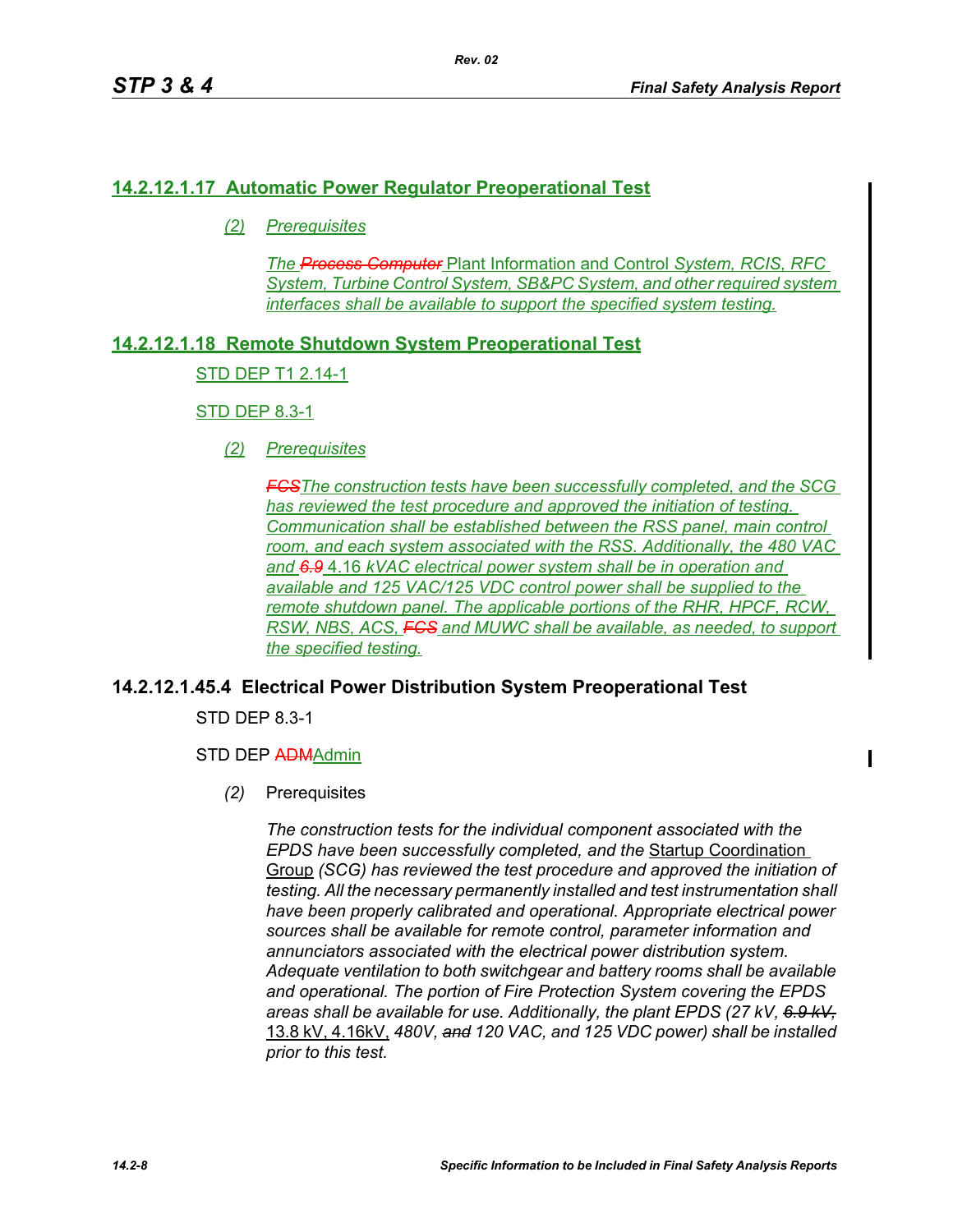# **14.2.12.1.17 Automatic Power Regulator Preoperational Test**

*(2) Prerequisites*

*The Process Computer* Plant Information and Control *System, RCIS, RFC System, Turbine Control System, SB&PC System, and other required system interfaces shall be available to support the specified system testing.*

# **14.2.12.1.18 Remote Shutdown System Preoperational Test**

### STD DEP T1 2.14-1

### STD DEP 8.3-1

*(2) Prerequisites*

*FCSThe construction tests have been successfully completed, and the SCG has reviewed the test procedure and approved the initiation of testing. Communication shall be established between the RSS panel, main control room, and each system associated with the RSS. Additionally, the 480 VAC and 6.9* 4.16 *kVAC electrical power system shall be in operation and available and 125 VAC/125 VDC control power shall be supplied to the remote shutdown panel. The applicable portions of the RHR, HPCF, RCW, RSW, NBS, ACS, FCS and MUWC shall be available, as needed, to support the specified testing.*

# **14.2.12.1.45.4 Electrical Power Distribution System Preoperational Test**

STD DEP 8.3-1

### STD DEP ADMAdmin

*(2)* Prerequisites

*The construction tests for the individual component associated with the EPDS have been successfully completed, and the* Startup Coordination Group *(SCG) has reviewed the test procedure and approved the initiation of testing. All the necessary permanently installed and test instrumentation shall have been properly calibrated and operational. Appropriate electrical power sources shall be available for remote control, parameter information and annunciators associated with the electrical power distribution system. Adequate ventilation to both switchgear and battery rooms shall be available and operational. The portion of Fire Protection System covering the EPDS areas shall be available for use. Additionally, the plant EPDS (27 kV, 6.9 kV,* 13.8 kV, 4.16kV, *480V, and 120 VAC, and 125 VDC power) shall be installed prior to this test.*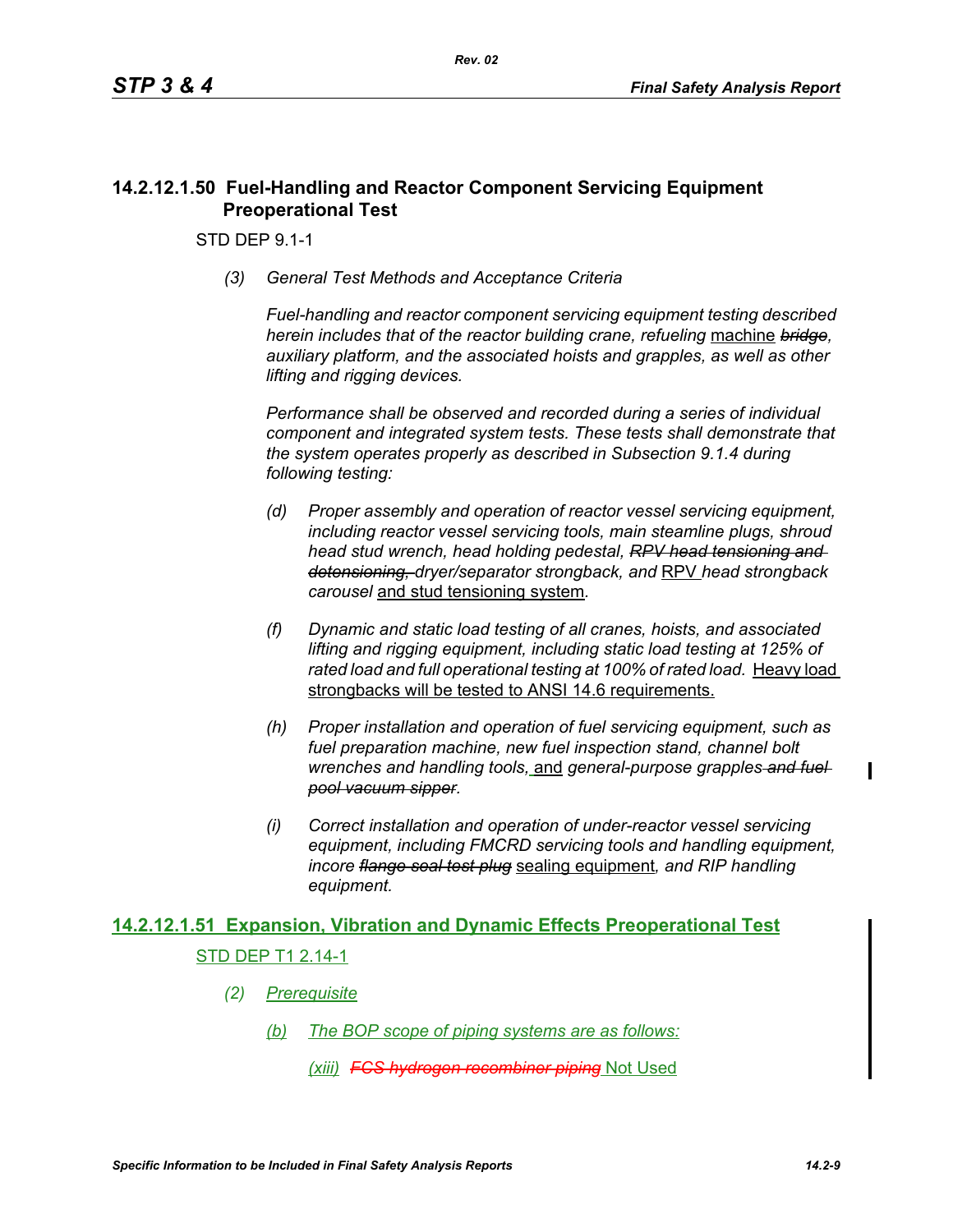# **14.2.12.1.50 Fuel-Handling and Reactor Component Servicing Equipment Preoperational Test**

STD DEP 9.1-1

*(3) General Test Methods and Acceptance Criteria*

*Fuel-handling and reactor component servicing equipment testing described herein includes that of the reactor building crane, refueling* machine *bridge, auxiliary platform, and the associated hoists and grapples, as well as other lifting and rigging devices.* 

*Performance shall be observed and recorded during a series of individual component and integrated system tests. These tests shall demonstrate that the system operates properly as described in Subsection 9.1.4 during following testing:*

- *(d) Proper assembly and operation of reactor vessel servicing equipment, including reactor vessel servicing tools, main steamline plugs, shroud head stud wrench, head holding pedestal, RPV head tensioning and detensioning, dryer/separator strongback, and* RPV *head strongback carousel* and stud tensioning system*.*
- *(f) Dynamic and static load testing of all cranes, hoists, and associated lifting and rigging equipment, including static load testing at 125% of rated load and full operational testing at 100% of rated load.* Heavy load strongbacks will be tested to ANSI 14.6 requirements.
- *(h) Proper installation and operation of fuel servicing equipment, such as fuel preparation machine, new fuel inspection stand, channel bolt wrenches and handling tools,* and *general-purpose grapples and fuel pool vacuum sipper.*
- *(i) Correct installation and operation of under-reactor vessel servicing equipment, including FMCRD servicing tools and handling equipment, incore flange seal test plug* sealing equipment*, and RIP handling equipment.*

# **14.2.12.1.51 Expansion, Vibration and Dynamic Effects Preoperational Test** STD DEP T1 2.14-1

- *(2) Prerequisite*
	- *(b) The BOP scope of piping systems are as follows:*

*(xiii) FCS hydrogen recombiner piping* Not Used

 $\blacksquare$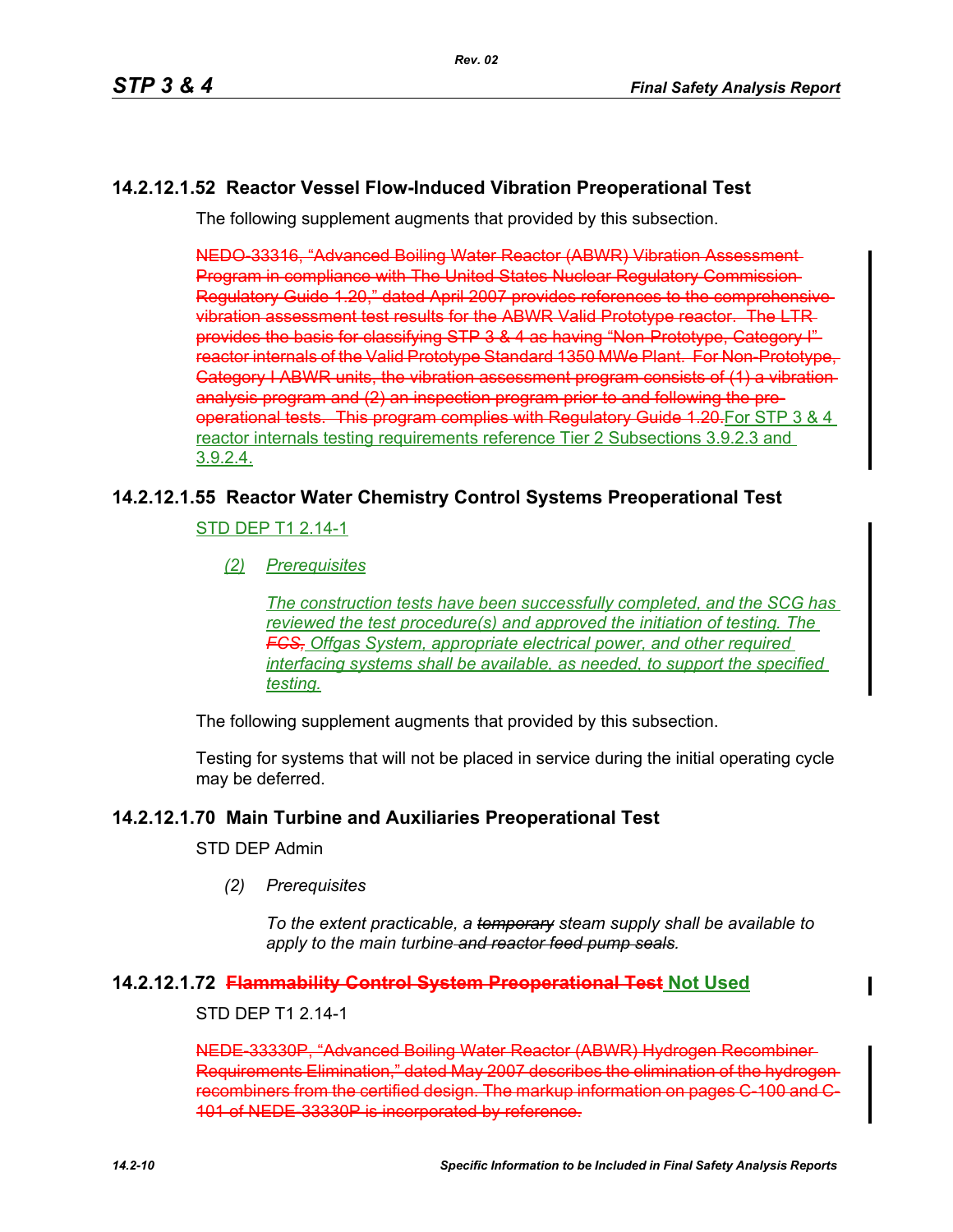# **14.2.12.1.52 Reactor Vessel Flow-Induced Vibration Preoperational Test**

The following supplement augments that provided by this subsection.

NEDO-33316, "Advanced Boiling Water Reactor (ABWR) Vibration Assessment Program in compliance with The United States Nuclear Regulatory Commission Regulatory Guide 1.20," dated April 2007 provides references to the comprehensive vibration assessment test results for the ABWR Valid Prototype reactor. The LTR provides the basis for classifying STP 3 & 4 as having "Non-Prototype, Category I" reactor internals of the Valid Prototype Standard 1350 MWe Plant. For Non-Prototype, Category I ABWR units, the vibration assessment program consists of (1) a vibration analysis program and (2) an inspection program prior to and following the preoperational tests. This program complies with Regulatory Guide 1.20-For STP 3 & 4 reactor internals testing requirements reference Tier 2 Subsections 3.9.2.3 and 3.9.2.4.

# **14.2.12.1.55 Reactor Water Chemistry Control Systems Preoperational Test**

STD DEP T1 2.14-1

*(2) Prerequisites*

*The construction tests have been successfully completed, and the SCG has reviewed the test procedure(s) and approved the initiation of testing. The FCS, Offgas System, appropriate electrical power, and other required interfacing systems shall be available, as needed, to support the specified testing.*

The following supplement augments that provided by this subsection.

Testing for systems that will not be placed in service during the initial operating cycle may be deferred.

# **14.2.12.1.70 Main Turbine and Auxiliaries Preoperational Test**

STD DEP Admin

*(2) Prerequisites*

*To the extent practicable, a temporary steam supply shall be available to apply to the main turbine and reactor feed pump seals.*

# **14.2.12.1.72 Flammability Control System Preoperational Test Not Used**

### STD DEP T1 2.14-1

NEDE-33330P, "Advanced Boiling Water Reactor (ABWR) Hydrogen Recombiner Requirements Elimination," dated May 2007 describes the elimination of the hydrogen recombiners from the certified design. The markup information on pages C-100 and C-101 of NEDE-33330P is incorporated by reference.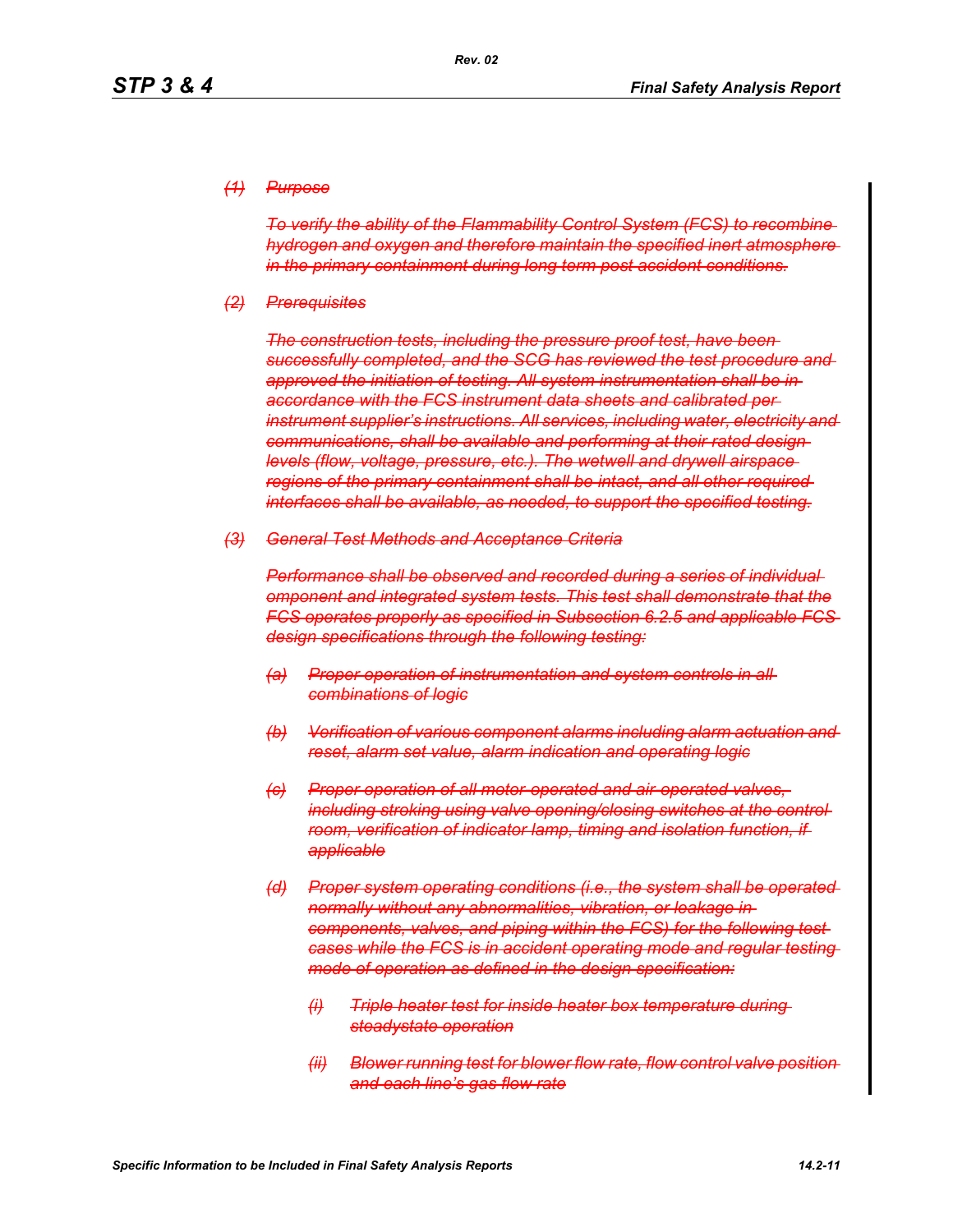#### *(1) Purpose*

*To verify the ability of the Flammability Control System (FCS) to recombine hydrogen and oxygen and therefore maintain the specified inert atmosphere in the primary containment during long term post accident conditions.*

#### *(2) Prerequisites*

*The construction tests, including the pressure proof test, have been successfully completed, and the SCG has reviewed the test procedure and approved the initiation of testing. All system instrumentation shall be in accordance with the FCS instrument data sheets and calibrated per instrument supplier's instructions. All services, including water, electricity and communications, shall be available and performing at their rated design levels (flow, voltage, pressure, etc.). The wetwell and drywell airspace regions of the primary containment shall be intact, and all other required interfaces shall be available, as needed, to support the specified testing.*

#### *(3) General Test Methods and Acceptance Criteria*

*Performance shall be observed and recorded during a series of individual omponent and integrated system tests. This test shall demonstrate that the FCS operates properly as specified in Subsection 6.2.5 and applicable FCS design specifications through the following testing:*

- *(a) Proper operation of instrumentation and system controls in all combinations of logic*
- *(b) Verification of various component alarms including alarm actuation and reset, alarm set value, alarm indication and operating logic*
- *(c) Proper operation of all motor-operated and air-operated valves, including stroking using valve opening/closing switches at the control room, verification of indicator lamp, timing and isolation function, if applicable*
- *(d) Proper system operating conditions (i.e., the system shall be operated normally without any abnormalities, vibration, or leakage in components, valves, and piping within the FCS) for the following test cases while the FCS is in accident operating mode and regular testing mode of operation as defined in the design specification:*
	- *(i) Triple heater test for inside heater box temperature during steadystate operation*
	- *(ii) Blower running test for blower flow rate, flow control valve position and each line's gas flow rate*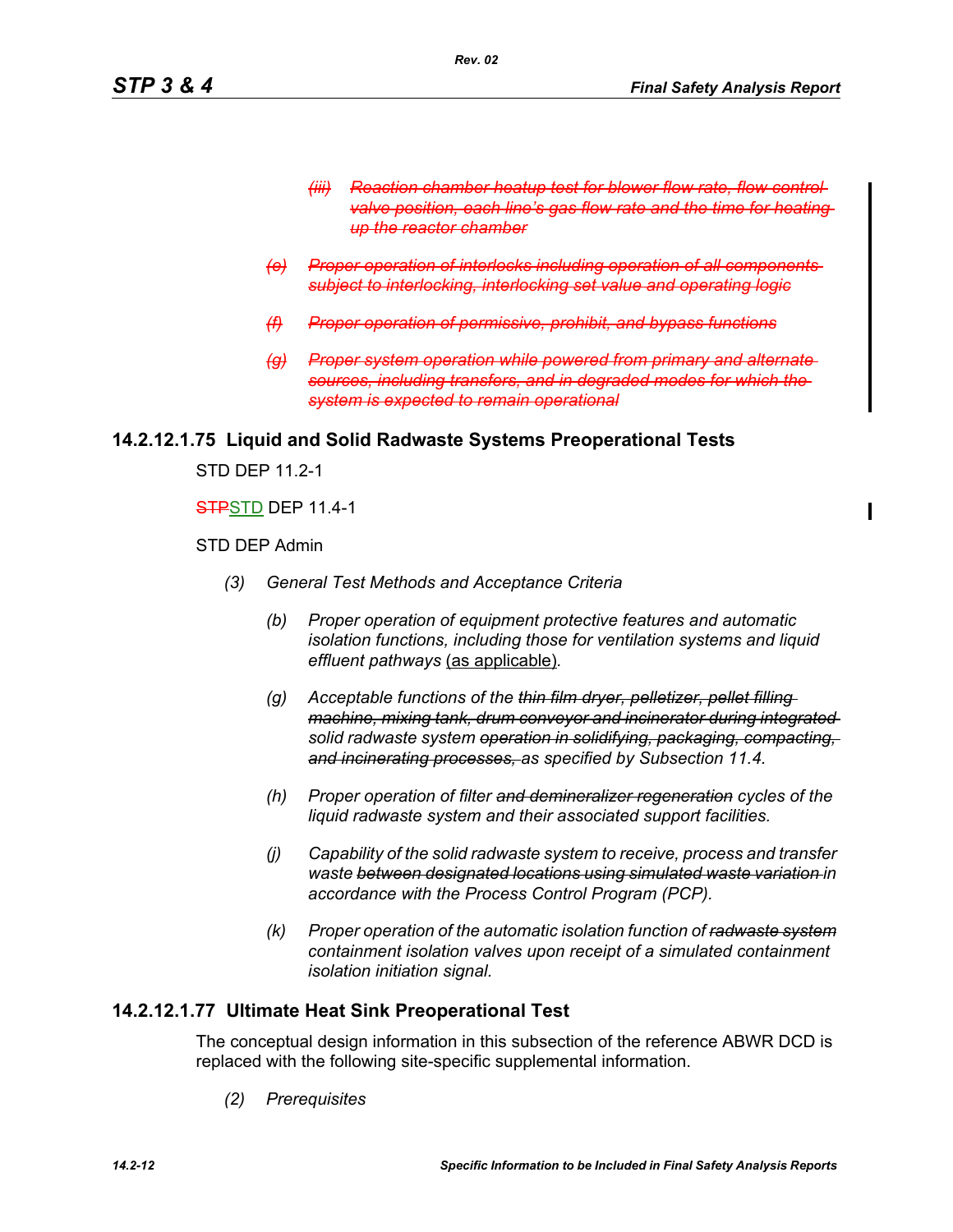- **Reaction chamber heatup test for blower flow rate, flow control** *valve position, each line's gas flow rate and the time for heating up the reactor chamber*
- *(e) Proper operation of interlocks including operation of all components subject to interlocking, interlocking set value and operating logic*
- *(f) Proper operation of permissive, prohibit, and bypass functions*
- *(g) Proper system operation while powered from primary and alternate sources, including transfers, and in degraded modes for which the system is expected to remain operational*

#### **14.2.12.1.75 Liquid and Solid Radwaste Systems Preoperational Tests**

STD DFP 11 2-1

#### STPSTD DEP 11.4-1

STD DEP Admin

- *(3) General Test Methods and Acceptance Criteria*
	- *(b) Proper operation of equipment protective features and automatic isolation functions, including those for ventilation systems and liquid effluent pathways* (as applicable)*.*
	- *(g) Acceptable functions of the thin film dryer, pelletizer, pellet filling machine, mixing tank, drum conveyor and incinerator during integrated solid radwaste system operation in solidifying, packaging, compacting, and incinerating processes, as specified by Subsection 11.4.*
	- *(h) Proper operation of filter and demineralizer regeneration cycles of the liquid radwaste system and their associated support facilities.*
	- *(j) Capability of the solid radwaste system to receive, process and transfer waste between designated locations using simulated waste variation in accordance with the Process Control Program (PCP).*
	- *(k) Proper operation of the automatic isolation function of radwaste system containment isolation valves upon receipt of a simulated containment isolation initiation signal.*

### **14.2.12.1.77 Ultimate Heat Sink Preoperational Test**

The conceptual design information in this subsection of the reference ABWR DCD is replaced with the following site-specific supplemental information.

*(2) Prerequisites*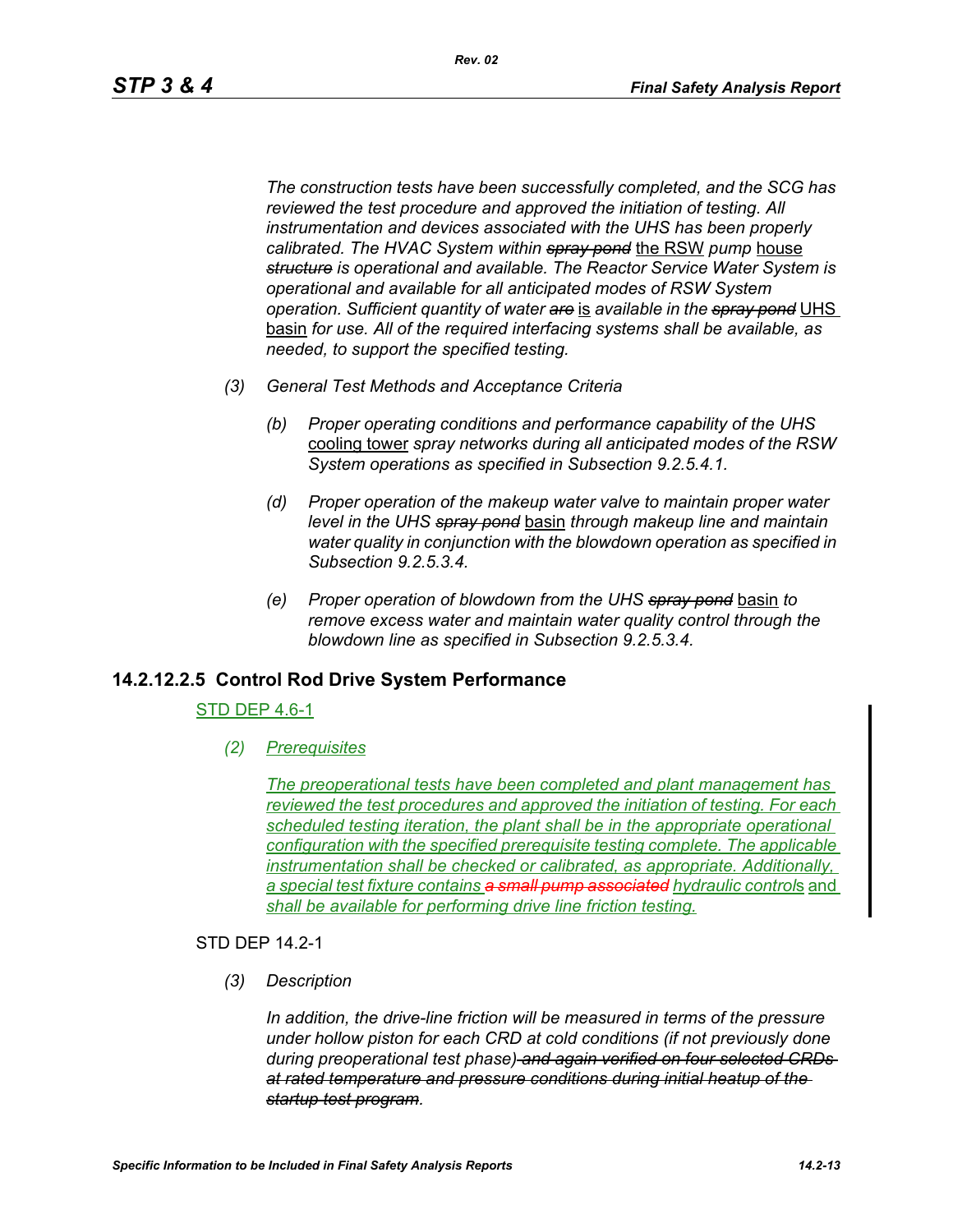*The construction tests have been successfully completed, and the SCG has reviewed the test procedure and approved the initiation of testing. All instrumentation and devices associated with the UHS has been properly calibrated. The HVAC System within spray pond* the RSW *pump* house *structure is operational and available. The Reactor Service Water System is operational and available for all anticipated modes of RSW System operation. Sufficient quantity of water are* is *available in the spray pond* UHS basin *for use. All of the required interfacing systems shall be available, as needed, to support the specified testing.*

- *(3) General Test Methods and Acceptance Criteria*
	- *(b) Proper operating conditions and performance capability of the UHS*  cooling tower *spray networks during all anticipated modes of the RSW System operations as specified in Subsection 9.2.5.4.1.*
	- *(d) Proper operation of the makeup water valve to maintain proper water level in the UHS spray pond* basin *through makeup line and maintain water quality in conjunction with the blowdown operation as specified in Subsection 9.2.5.3.4.*
	- *(e) Proper operation of blowdown from the UHS spray pond* basin *to remove excess water and maintain water quality control through the blowdown line as specified in Subsection 9.2.5.3.4.*

### **14.2.12.2.5 Control Rod Drive System Performance**

#### STD DEP 4.6-1

*(2) Prerequisites*

*The preoperational tests have been completed and plant management has reviewed the test procedures and approved the initiation of testing. For each scheduled testing iteration, the plant shall be in the appropriate operational configuration with the specified prerequisite testing complete. The applicable instrumentation shall be checked or calibrated, as appropriate. Additionally, a special test fixture contains a small pump associated hydraulic control*s and *shall be available for performing drive line friction testing.*

#### STD DEP 14.2-1

*(3) Description*

*In addition, the drive-line friction will be measured in terms of the pressure under hollow piston for each CRD at cold conditions (if not previously done during preoperational test phase) and again verified on four selected CRDs at rated temperature and pressure conditions during initial heatup of the startup test program.*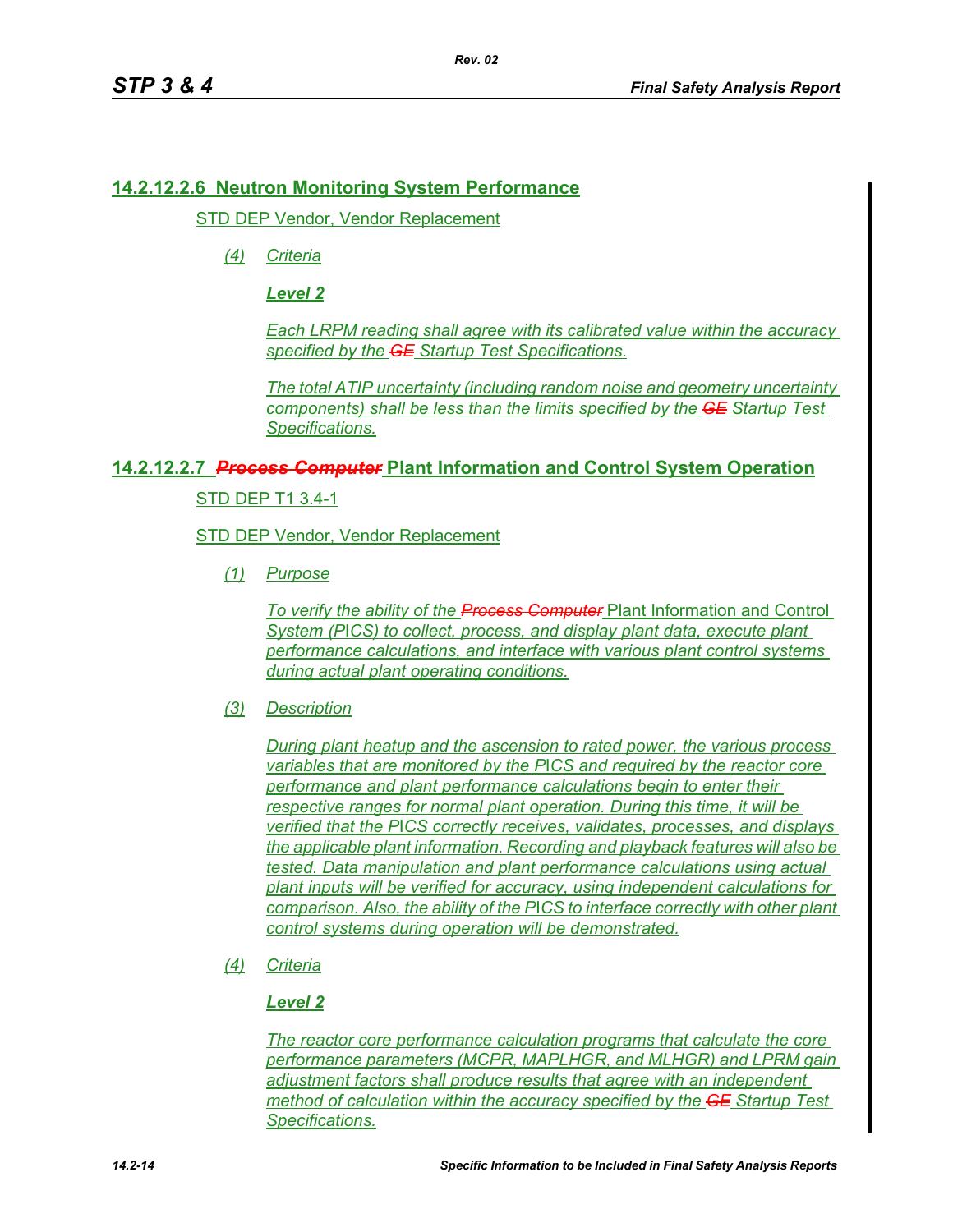### **14.2.12.2.6 Neutron Monitoring System Performance**

STD DEP Vendor, Vendor Replacement

*(4) Criteria*

*Level 2*

*Each LRPM reading shall agree with its calibrated value within the accuracy specified by the GE Startup Test Specifications.*

*The total ATIP uncertainty (including random noise and geometry uncertainty components) shall be less than the limits specified by the GE Startup Test Specifications.*

### **14.2.12.2.7** *Process Computer* **Plant Information and Control System Operation**

STD DEP T1 3.4-1

STD DEP Vendor, Vendor Replacement

*(1) Purpose*

*To verify the ability of the Process Computer* Plant Information and Control *System (P*I*CS) to collect, process, and display plant data, execute plant performance calculations, and interface with various plant control systems during actual plant operating conditions.*

*(3) Description*

*During plant heatup and the ascension to rated power, the various process variables that are monitored by the P*I*CS and required by the reactor core performance and plant performance calculations begin to enter their respective ranges for normal plant operation. During this time, it will be verified that the P*I*CS correctly receives, validates, processes, and displays the applicable plant information. Recording and playback features will also be tested. Data manipulation and plant performance calculations using actual plant inputs will be verified for accuracy, using independent calculations for comparison. Also, the ability of the P*I*CS to interface correctly with other plant control systems during operation will be demonstrated.*

*(4) Criteria*

### *Level 2*

*The reactor core performance calculation programs that calculate the core performance parameters (MCPR, MAPLHGR, and MLHGR) and LPRM gain adjustment factors shall produce results that agree with an independent method of calculation within the accuracy specified by the GE Startup Test Specifications.*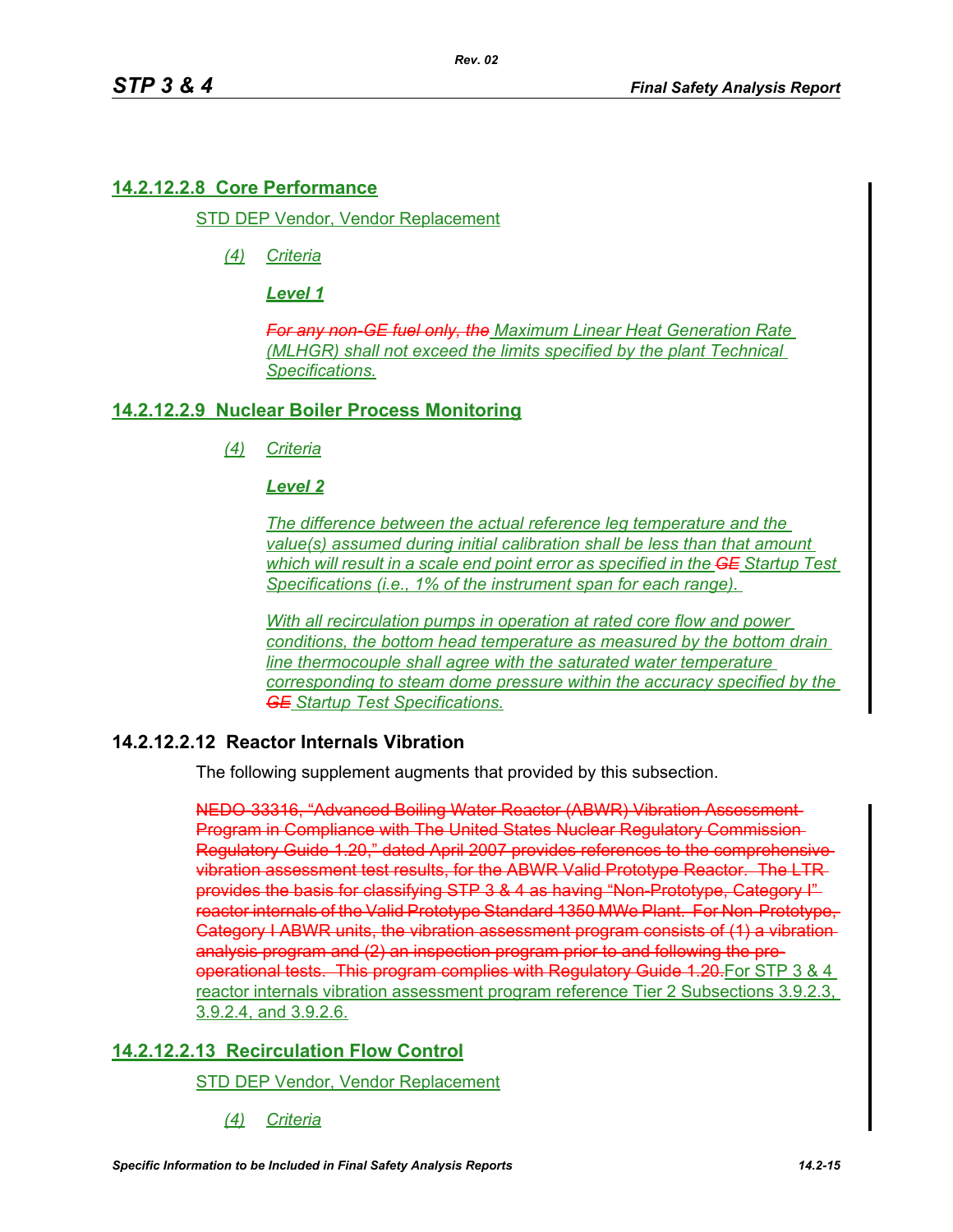# **14.2.12.2.8 Core Performance**

STD DEP Vendor, Vendor Replacement

*(4) Criteria*

*Level 1*

*For any non-GE fuel only, the Maximum Linear Heat Generation Rate (MLHGR) shall not exceed the limits specified by the plant Technical Specifications.*

# **14.2.12.2.9 Nuclear Boiler Process Monitoring**

*(4) Criteria*

# *Level 2*

*The difference between the actual reference leg temperature and the value(s) assumed during initial calibration shall be less than that amount which will result in a scale end point error as specified in the GE Startup Test Specifications (i.e., 1% of the instrument span for each range).* 

*With all recirculation pumps in operation at rated core flow and power conditions, the bottom head temperature as measured by the bottom drain line thermocouple shall agree with the saturated water temperature corresponding to steam dome pressure within the accuracy specified by the GE Startup Test Specifications.*

# **14.2.12.2.12 Reactor Internals Vibration**

The following supplement augments that provided by this subsection.

NEDO-33316, "Advanced Boiling Water Reactor (ABWR) Vibration Assessment Program in Compliance with The United States Nuclear Regulatory Commission Regulatory Guide 1.20," dated April 2007 provides references to the comprehensive vibration assessment test results, for the ABWR Valid Prototype Reactor. The LTR provides the basis for classifying STP 3 & 4 as having "Non-Prototype, Category I" reactor internals of the Valid Prototype Standard 1350 MWe Plant. For Non-Prototype, Category I ABWR units, the vibration assessment program consists of (1) a vibration analysis program and (2) an inspection program prior to and following the preoperational tests. This program complies with Regulatory Guide 1.20 For STP 3 & 4 reactor internals vibration assessment program reference Tier 2 Subsections 3.9.2.3, 3.9.2.4, and 3.9.2.6.

# **14.2.12.2.13 Recirculation Flow Control**

STD DEP Vendor, Vendor Replacement

*(4) Criteria*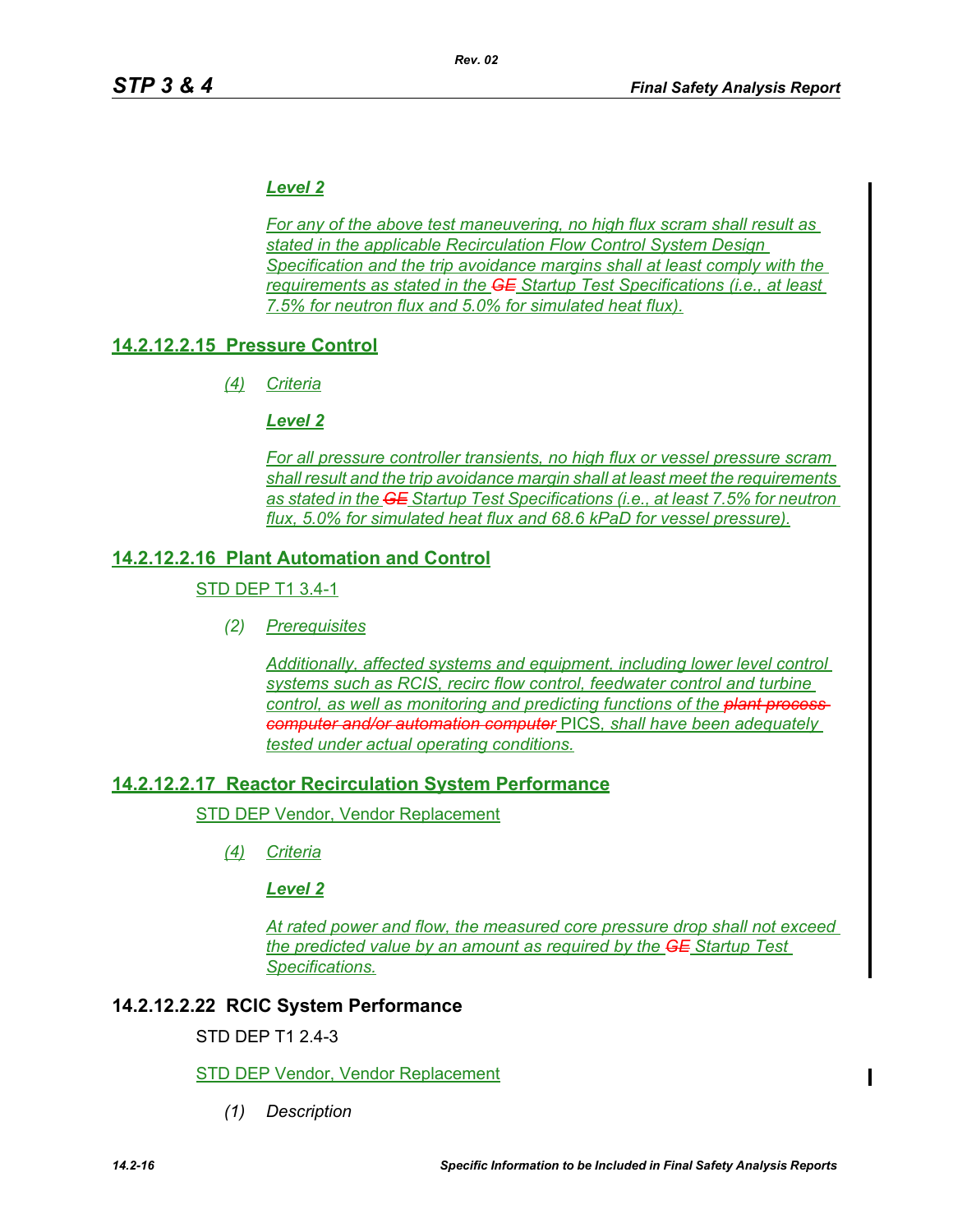# *Level 2*

*For any of the above test maneuvering, no high flux scram shall result as stated in the applicable Recirculation Flow Control System Design Specification and the trip avoidance margins shall at least comply with the requirements as stated in the GE Startup Test Specifications (i.e., at least 7.5% for neutron flux and 5.0% for simulated heat flux).*

# **14.2.12.2.15 Pressure Control**

*(4) Criteria*

### *Level 2*

*For all pressure controller transients, no high flux or vessel pressure scram shall result and the trip avoidance margin shall at least meet the requirements as stated in the GE Startup Test Specifications (i.e., at least 7.5% for neutron flux, 5.0% for simulated heat flux and 68.6 kPaD for vessel pressure).*

# **14.2.12.2.16 Plant Automation and Control**

### STD DEP T1 3.4-1

*(2) Prerequisites*

*Additionally, affected systems and equipment, including lower level control systems such as RCIS, recirc flow control, feedwater control and turbine control, as well as monitoring and predicting functions of the plant process computer and/or automation computer* PICS*, shall have been adequately tested under actual operating conditions.*

# **14.2.12.2.17 Reactor Recirculation System Performance**

STD DEP Vendor, Vendor Replacement

*(4) Criteria*

### *Level 2*

*At rated power and flow, the measured core pressure drop shall not exceed the predicted value by an amount as required by the GE Startup Test Specifications.*

# **14.2.12.2.22 RCIC System Performance**

STD DEP T1 2.4-3

### STD DEP Vendor, Vendor Replacement

*(1) Description*

П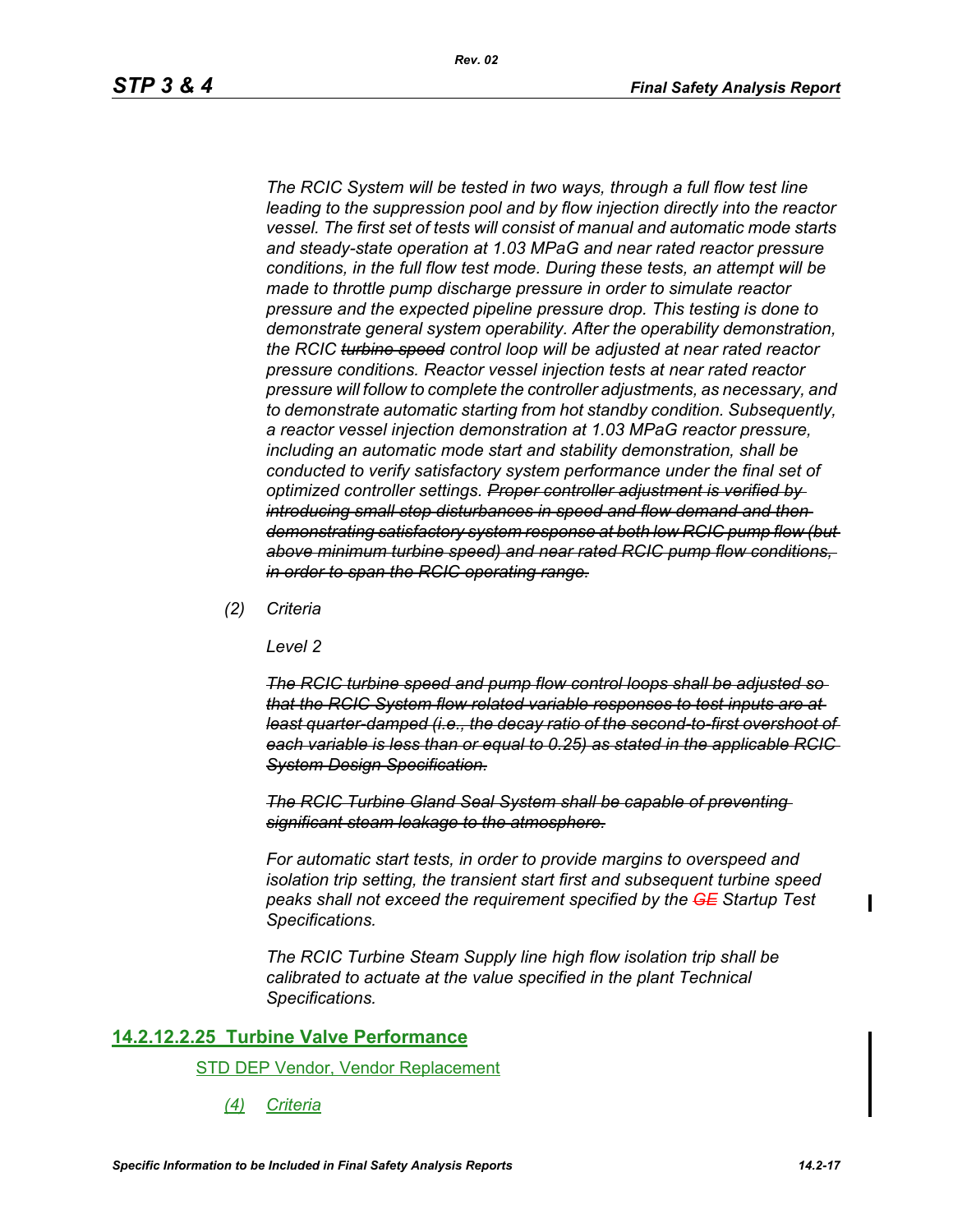*The RCIC System will be tested in two ways, through a full flow test line leading to the suppression pool and by flow injection directly into the reactor vessel. The first set of tests will consist of manual and automatic mode starts and steady-state operation at 1.03 MPaG and near rated reactor pressure conditions, in the full flow test mode. During these tests, an attempt will be made to throttle pump discharge pressure in order to simulate reactor pressure and the expected pipeline pressure drop. This testing is done to demonstrate general system operability. After the operability demonstration, the RCIC turbine speed control loop will be adjusted at near rated reactor pressure conditions. Reactor vessel injection tests at near rated reactor pressure will follow to complete the controller adjustments, as necessary, and to demonstrate automatic starting from hot standby condition. Subsequently, a reactor vessel injection demonstration at 1.03 MPaG reactor pressure, including an automatic mode start and stability demonstration, shall be conducted to verify satisfactory system performance under the final set of optimized controller settings. Proper controller adjustment is verified by introducing small step disturbances in speed and flow demand and then demonstrating satisfactory system response at both low RCIC pump flow (but above minimum turbine speed) and near rated RCIC pump flow conditions, in order to span the RCIC operating range.*

*Rev. 02*

*(2) Criteria*

*Level 2*

*The RCIC turbine speed and pump flow control loops shall be adjusted so that the RCIC System flow related variable responses to test inputs are at least quarter-damped (i.e., the decay ratio of the second-to-first overshoot of each variable is less than or equal to 0.25) as stated in the applicable RCIC System Design Specification.*

*The RCIC Turbine Gland Seal System shall be capable of preventing significant steam leakage to the atmosphere.*

*For automatic start tests, in order to provide margins to overspeed and isolation trip setting, the transient start first and subsequent turbine speed peaks shall not exceed the requirement specified by the GE Startup Test Specifications.*

*The RCIC Turbine Steam Supply line high flow isolation trip shall be calibrated to actuate at the value specified in the plant Technical Specifications.*

#### **14.2.12.2.25 Turbine Valve Performance**

STD DEP Vendor, Vendor Replacement

*(4) Criteria*

 $\blacksquare$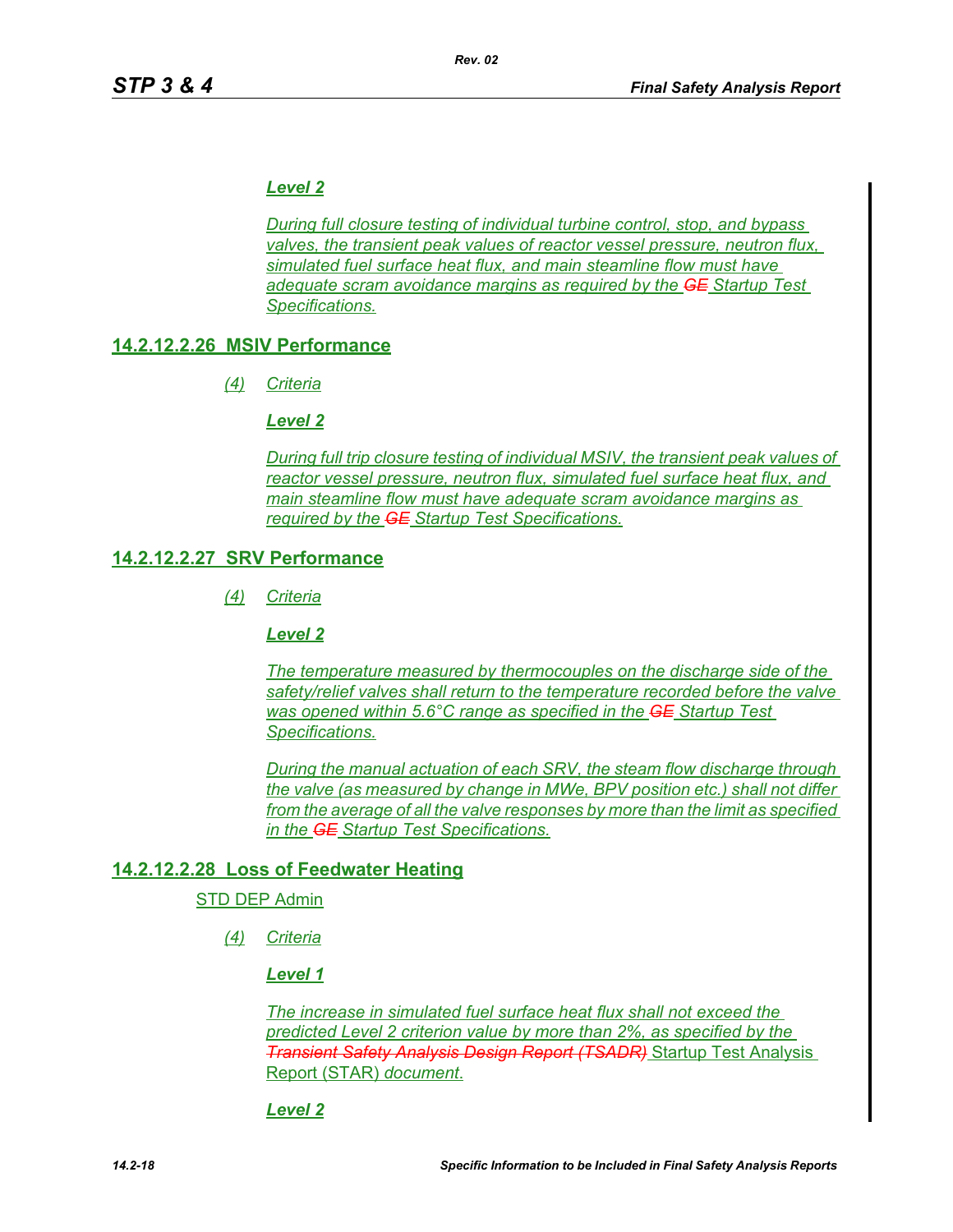# *Level 2*

*During full closure testing of individual turbine control, stop, and bypass valves, the transient peak values of reactor vessel pressure, neutron flux, simulated fuel surface heat flux, and main steamline flow must have adequate scram avoidance margins as required by the GE Startup Test Specifications.*

# **14.2.12.2.26 MSIV Performance**

*(4) Criteria*

### *Level 2*

*During full trip closure testing of individual MSIV, the transient peak values of reactor vessel pressure, neutron flux, simulated fuel surface heat flux, and main steamline flow must have adequate scram avoidance margins as required by the GE Startup Test Specifications.*

# **14.2.12.2.27 SRV Performance**

*(4) Criteria*

*Level 2*

*The temperature measured by thermocouples on the discharge side of the safety/relief valves shall return to the temperature recorded before the valve was opened within 5.6°C range as specified in the GE Startup Test Specifications.*

*During the manual actuation of each SRV, the steam flow discharge through the valve (as measured by change in MWe, BPV position etc.) shall not differ from the average of all the valve responses by more than the limit as specified in the GE Startup Test Specifications.*

# **14.2.12.2.28 Loss of Feedwater Heating**

### STD DEP Admin

*(4) Criteria*

### *Level 1*

*The increase in simulated fuel surface heat flux shall not exceed the predicted Level 2 criterion value by more than 2%, as specified by the Transient Safety Analysis Design Report (TSADR)* Startup Test Analysis Report (STAR) *document*.

### *Level 2*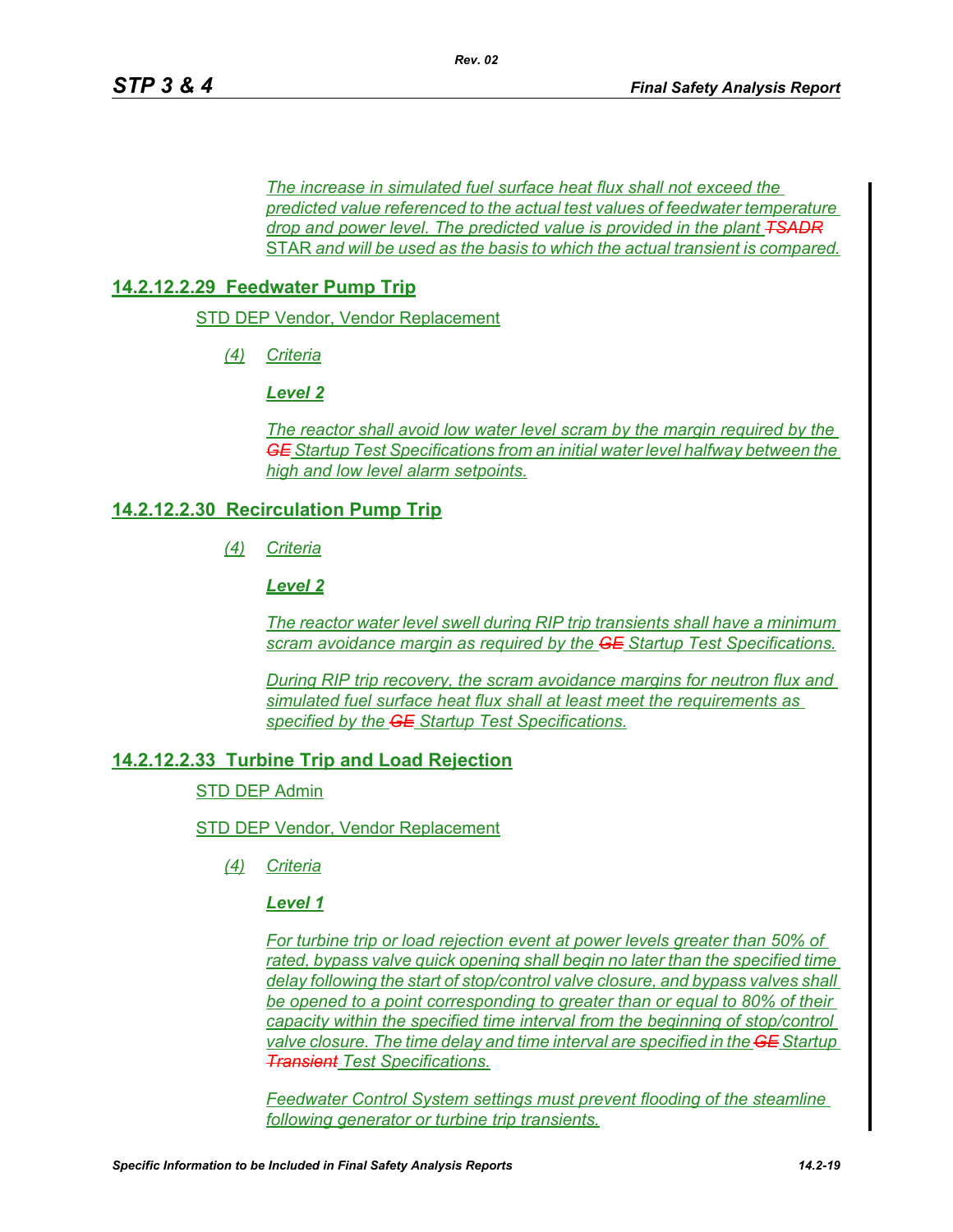*The increase in simulated fuel surface heat flux shall not exceed the predicted value referenced to the actual test values of feedwater temperature drop and power level. The predicted value is provided in the plant TSADR* STAR *and will be used as the basis to which the actual transient is compared.*

### **14.2.12.2.29 Feedwater Pump Trip**

STD DEP Vendor, Vendor Replacement

*(4) Criteria*

*Level 2*

*The reactor shall avoid low water level scram by the margin required by the GE Startup Test Specifications from an initial water level halfway between the high and low level alarm setpoints.*

#### **14.2.12.2.30 Recirculation Pump Trip**

*(4) Criteria*

*Level 2*

*The reactor water level swell during RIP trip transients shall have a minimum scram avoidance margin as required by the GE Startup Test Specifications.*

*During RIP trip recovery, the scram avoidance margins for neutron flux and simulated fuel surface heat flux shall at least meet the requirements as specified by the GE Startup Test Specifications.*

#### **14.2.12.2.33 Turbine Trip and Load Rejection**

STD DEP Admin

#### STD DEP Vendor, Vendor Replacement

*(4) Criteria*

#### *Level 1*

*For turbine trip or load rejection event at power levels greater than 50% of rated, bypass valve quick opening shall begin no later than the specified time delay following the start of stop/control valve closure, and bypass valves shall be opened to a point corresponding to greater than or equal to 80% of their capacity within the specified time interval from the beginning of stop/control valve closure. The time delay and time interval are specified in the GE Startup Transient Test Specifications.*

*Feedwater Control System settings must prevent flooding of the steamline following generator or turbine trip transients.*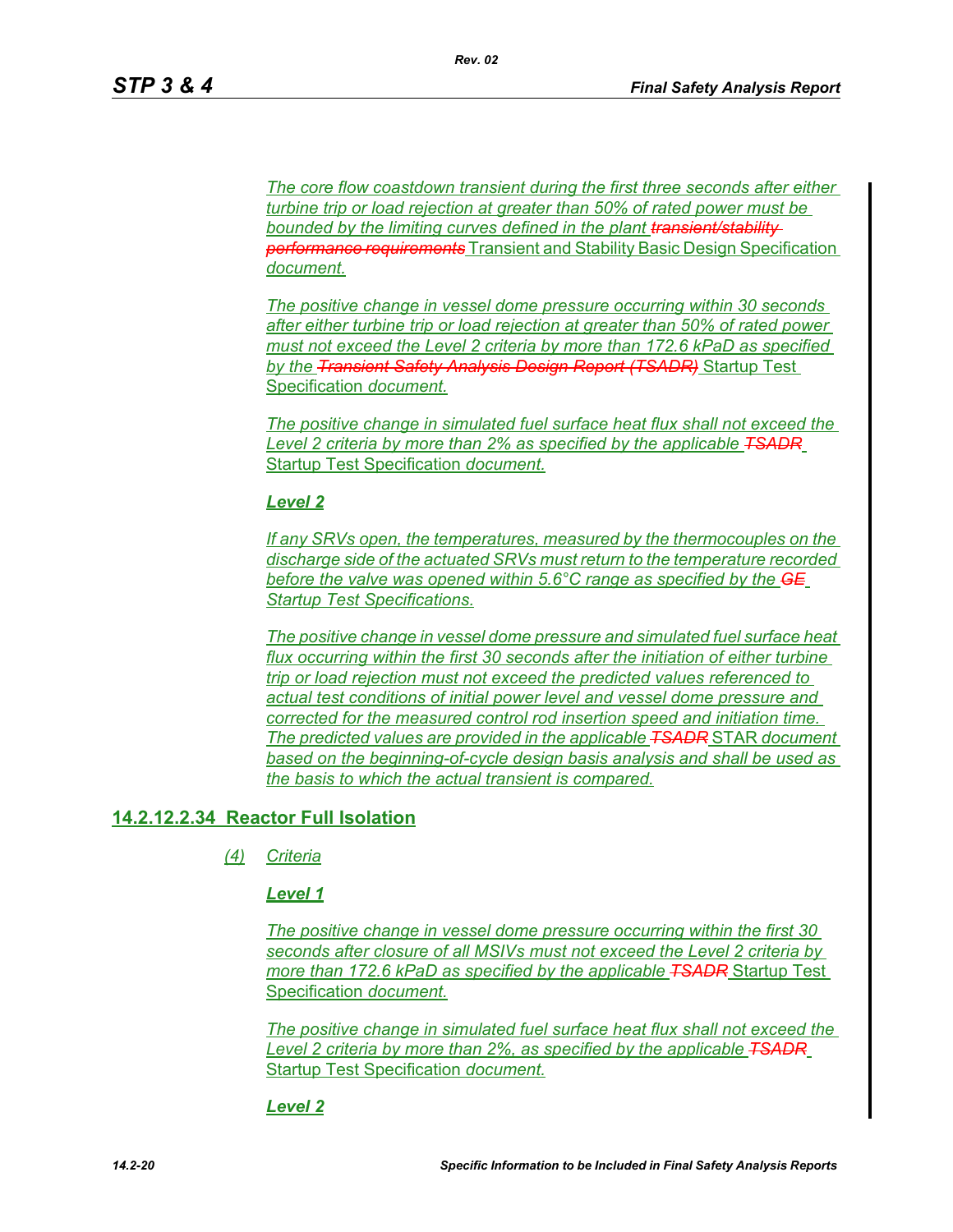*The core flow coastdown transient during the first three seconds after either turbine trip or load rejection at greater than 50% of rated power must be bounded by the limiting curves defined in the plant transient/stability performance requirements* Transient and Stability Basic Design Specification *document.*

*The positive change in vessel dome pressure occurring within 30 seconds after either turbine trip or load rejection at greater than 50% of rated power must not exceed the Level 2 criteria by more than 172.6 kPaD as specified by the Transient Safety Analysis Design Report (TSADR)* Startup Test Specification *document.*

*The positive change in simulated fuel surface heat flux shall not exceed the Level 2 criteria by more than 2% as specified by the applicable TSADR* Startup Test Specification *document.*

#### *Level 2*

*If any SRVs open, the temperatures, measured by the thermocouples on the discharge side of the actuated SRVs must return to the temperature recorded before the valve was opened within 5.6°C range as specified by the GE Startup Test Specifications.*

*The positive change in vessel dome pressure and simulated fuel surface heat flux occurring within the first 30 seconds after the initiation of either turbine trip or load rejection must not exceed the predicted values referenced to actual test conditions of initial power level and vessel dome pressure and corrected for the measured control rod insertion speed and initiation time. The predicted values are provided in the applicable TSADR* STAR *document based on the beginning-of-cycle design basis analysis and shall be used as the basis to which the actual transient is compared.*

# **14.2.12.2.34 Reactor Full Isolation**

*(4) Criteria*

### *Level 1*

*The positive change in vessel dome pressure occurring within the first 30 seconds after closure of all MSIVs must not exceed the Level 2 criteria by more than 172.6 kPaD as specified by the applicable TSADR* Startup Test Specification *document.*

*The positive change in simulated fuel surface heat flux shall not exceed the Level 2 criteria by more than 2%, as specified by the applicable TSADR* Startup Test Specification *document.*

#### *Level 2*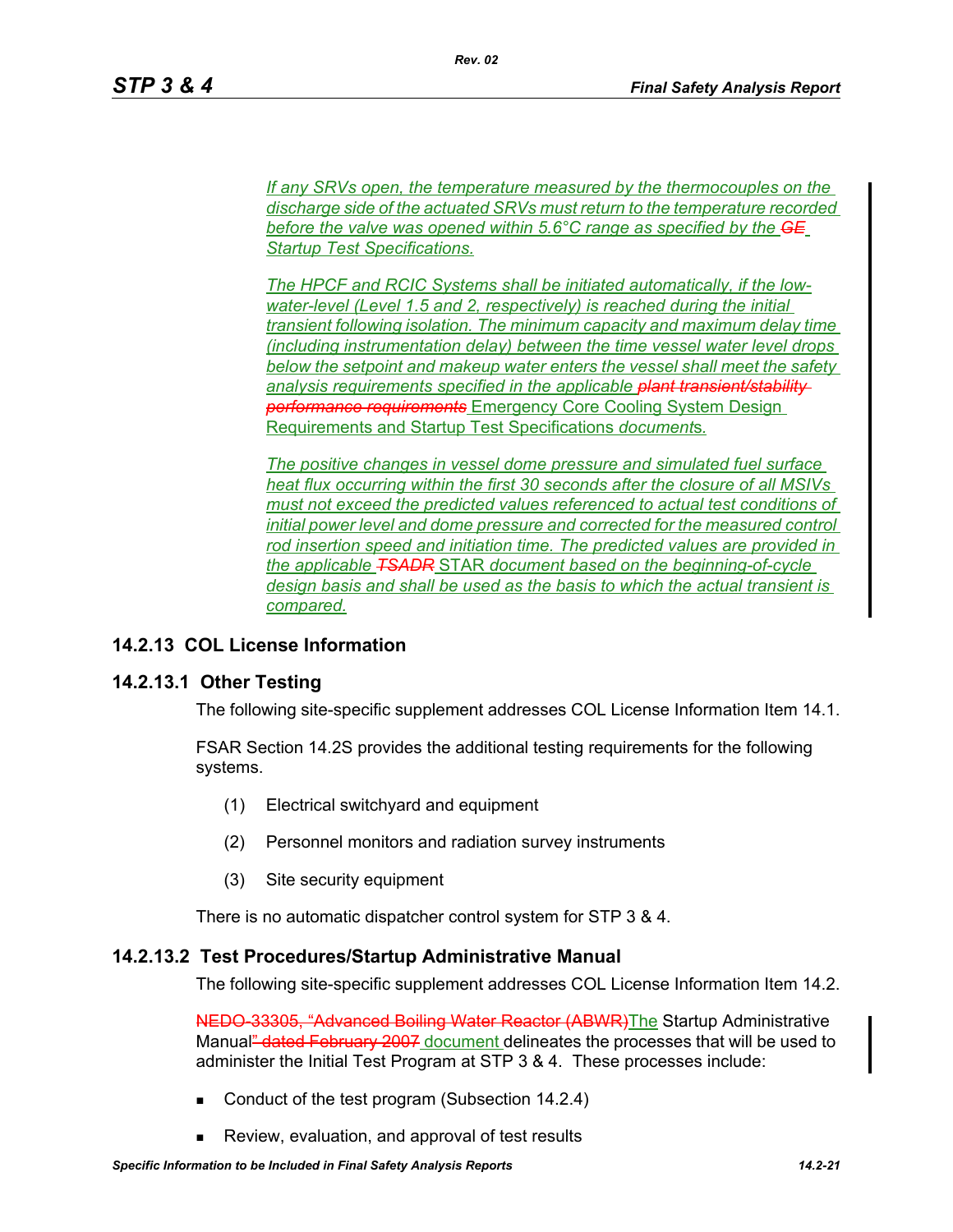*If any SRVs open, the temperature measured by the thermocouples on the discharge side of the actuated SRVs must return to the temperature recorded before the valve was opened within 5.6°C range as specified by the GE Startup Test Specifications.*

*Rev. 02*

*The HPCF and RCIC Systems shall be initiated automatically, if the lowwater-level (Level 1.5 and 2, respectively) is reached during the initial transient following isolation. The minimum capacity and maximum delay time (including instrumentation delay) between the time vessel water level drops below the setpoint and makeup water enters the vessel shall meet the safety analysis requirements specified in the applicable plant transient/stability performance requirements* Emergency Core Cooling System Design Requirements and Startup Test Specifications *document*s*.*

*The positive changes in vessel dome pressure and simulated fuel surface heat flux occurring within the first 30 seconds after the closure of all MSIVs must not exceed the predicted values referenced to actual test conditions of initial power level and dome pressure and corrected for the measured control rod insertion speed and initiation time. The predicted values are provided in the applicable TSADR* STAR *document based on the beginning-of-cycle design basis and shall be used as the basis to which the actual transient is compared.*

# **14.2.13 COL License Information**

# **14.2.13.1 Other Testing**

The following site-specific supplement addresses COL License Information Item 14.1.

FSAR Section 14.2S provides the additional testing requirements for the following systems.

- (1) Electrical switchyard and equipment
- (2) Personnel monitors and radiation survey instruments
- (3) Site security equipment

There is no automatic dispatcher control system for STP 3 & 4.

# **14.2.13.2 Test Procedures/Startup Administrative Manual**

The following site-specific supplement addresses COL License Information Item 14.2.

NEDO-33305, "Advanced Boiling Water Reactor (ABWR) The Startup Administrative Manual" dated February 2007 document delineates the processes that will be used to administer the Initial Test Program at STP 3 & 4. These processes include:

- Conduct of the test program (Subsection 14.2.4)
- Review, evaluation, and approval of test results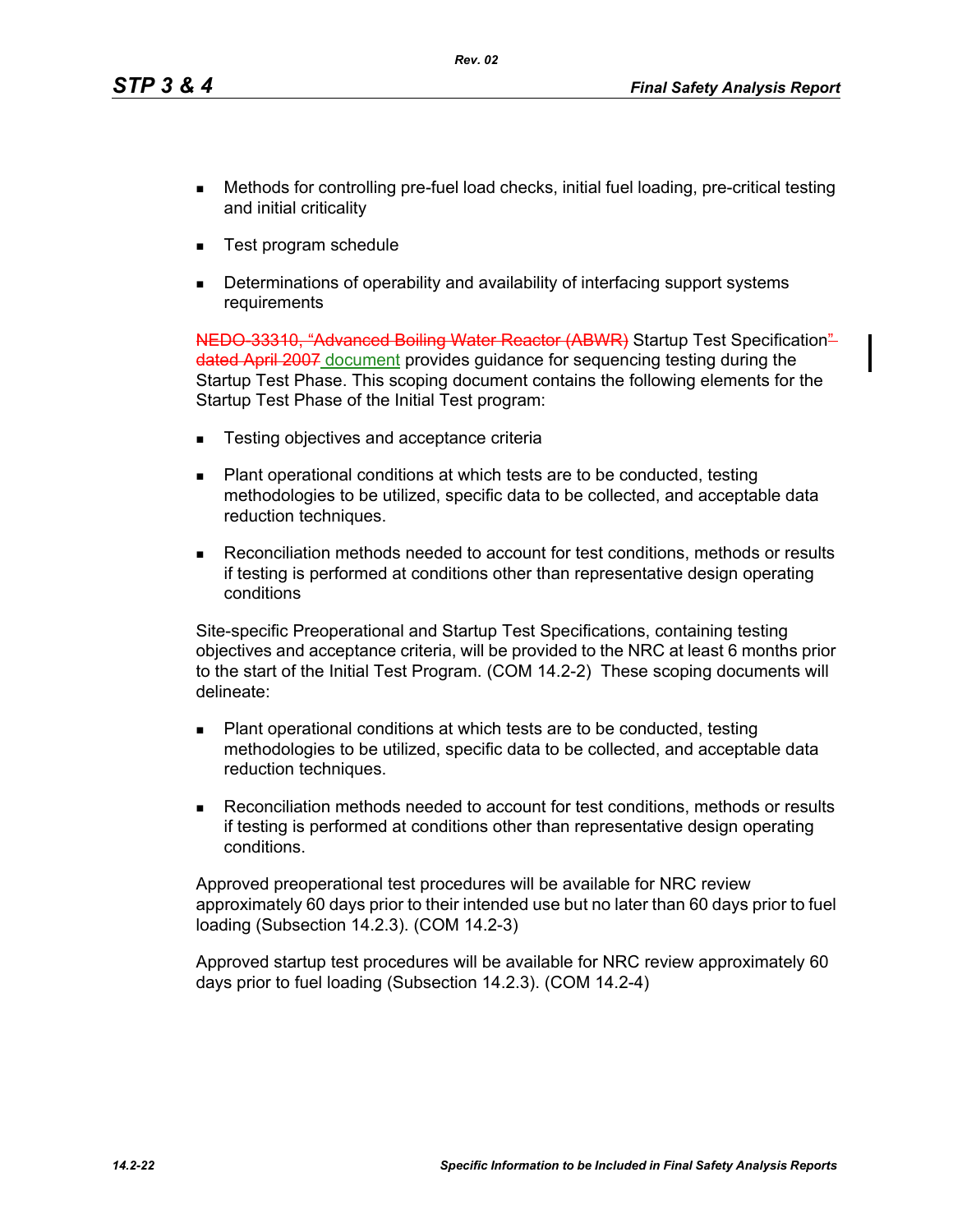- Methods for controlling pre-fuel load checks, initial fuel loading, pre-critical testing and initial criticality
- Test program schedule
- Determinations of operability and availability of interfacing support systems requirements

NEDO 33310, "Advanced Boiling Water Reactor (ABWR) Startup Test Specification" dated April 2007 document provides guidance for sequencing testing during the Startup Test Phase. This scoping document contains the following elements for the Startup Test Phase of the Initial Test program:

- Testing objectives and acceptance criteria
- Plant operational conditions at which tests are to be conducted, testing methodologies to be utilized, specific data to be collected, and acceptable data reduction techniques.
- Reconciliation methods needed to account for test conditions, methods or results if testing is performed at conditions other than representative design operating conditions

Site-specific Preoperational and Startup Test Specifications, containing testing objectives and acceptance criteria, will be provided to the NRC at least 6 months prior to the start of the Initial Test Program. (COM 14.2-2) These scoping documents will delineate:

- Plant operational conditions at which tests are to be conducted, testing methodologies to be utilized, specific data to be collected, and acceptable data reduction techniques.
- Reconciliation methods needed to account for test conditions, methods or results if testing is performed at conditions other than representative design operating conditions.

Approved preoperational test procedures will be available for NRC review approximately 60 days prior to their intended use but no later than 60 days prior to fuel loading (Subsection 14.2.3). (COM 14.2-3)

Approved startup test procedures will be available for NRC review approximately 60 days prior to fuel loading (Subsection 14.2.3). (COM 14.2-4)